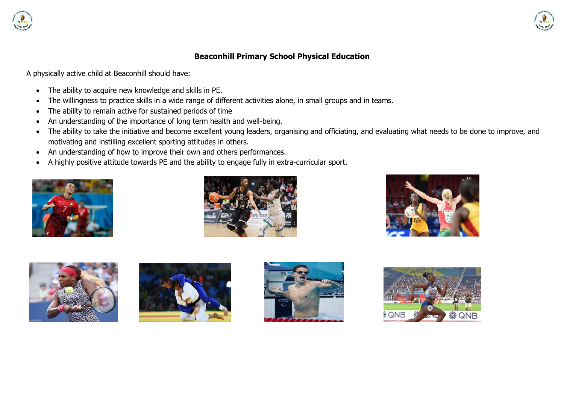



#### **Beaconhill Primary School Physical Education**

A physically active child at Beaconhill should have:

- The ability to acquire new knowledge and skills in PE.
- The willingness to practice skills in a wide range of different activities alone, in small groups and in teams.
- The ability to remain active for sustained periods of time
- An understanding of the importance of long term health and well-being.
- The ability to take the initiative and become excellent young leaders, organising and officiating, and evaluating what needs to be done to improve, and motivating and instilling excellent sporting attitudes in others.
- An understanding of how to improve their own and others performances.
- A highly positive attitude towards PE and the ability to engage fully in extra-curricular sport.













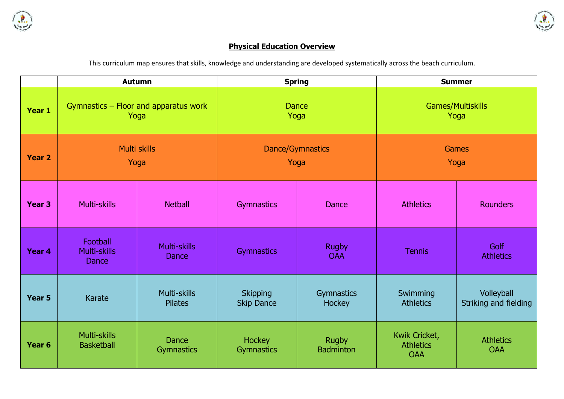



## **Physical Education Overview**

This curriculum map ensures that skills, knowledge and understanding are developed systematically across the beach curriculum.

|                   | <b>Autumn</b>                                 |                                     |                                      | <b>Spring</b>                    | <b>Summer</b>                                   |                                     |  |
|-------------------|-----------------------------------------------|-------------------------------------|--------------------------------------|----------------------------------|-------------------------------------------------|-------------------------------------|--|
| Year 1            | Gymnastics - Floor and apparatus work<br>Yoga |                                     | <b>Dance</b>                         | Yoga                             | Games/Multiskills<br>Yoga                       |                                     |  |
| <b>Year 2</b>     | Multi skills<br>Yoga                          |                                     | <b>Dance/Gymnastics</b><br>Yoga      |                                  | <b>Games</b><br>Yoga                            |                                     |  |
| Year <sub>3</sub> | Multi-skills                                  | <b>Netball</b>                      | <b>Gymnastics</b>                    | Dance                            | <b>Athletics</b>                                | <b>Rounders</b>                     |  |
| Year 4            | Football<br>Multi-skills<br><b>Dance</b>      | <b>Multi-skills</b><br><b>Dance</b> | <b>Gymnastics</b>                    | <b>Rugby</b><br><b>OAA</b>       | <b>Tennis</b>                                   | <b>Golf</b><br><b>Athletics</b>     |  |
| Year 5            | <b>Karate</b>                                 | Multi-skills<br><b>Pilates</b>      | <b>Skipping</b><br><b>Skip Dance</b> | Gymnastics<br><b>Hockey</b>      | Swimming<br><b>Athletics</b>                    | Volleyball<br>Striking and fielding |  |
| Year <sub>6</sub> | Multi-skills<br><b>Basketball</b>             | <b>Dance</b><br><b>Gymnastics</b>   | <b>Hockey</b><br>Gymnastics          | <b>Rugby</b><br><b>Badminton</b> | Kwik Cricket,<br><b>Athletics</b><br><b>OAA</b> | <b>Athletics</b><br><b>OAA</b>      |  |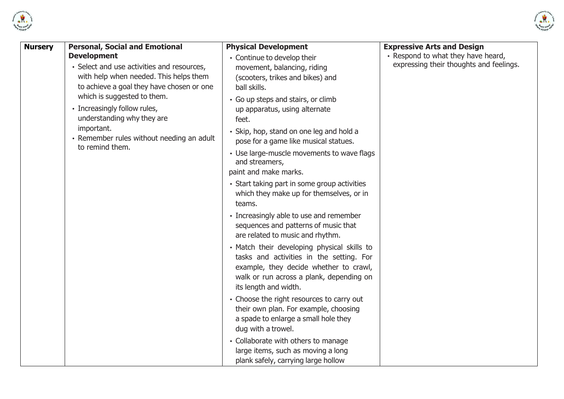



| <b>Nursery</b> | <b>Personal, Social and Emotional</b>                                               | <b>Physical Development</b>                                                                                                                                                                            | <b>Expressive Arts and Design</b>       |
|----------------|-------------------------------------------------------------------------------------|--------------------------------------------------------------------------------------------------------------------------------------------------------------------------------------------------------|-----------------------------------------|
|                | <b>Development</b>                                                                  | • Continue to develop their                                                                                                                                                                            | • Respond to what they have heard,      |
|                | • Select and use activities and resources,                                          | movement, balancing, riding                                                                                                                                                                            | expressing their thoughts and feelings. |
|                | with help when needed. This helps them<br>to achieve a goal they have chosen or one | (scooters, trikes and bikes) and                                                                                                                                                                       |                                         |
|                | which is suggested to them.                                                         | ball skills.                                                                                                                                                                                           |                                         |
|                | • Increasingly follow rules,                                                        | • Go up steps and stairs, or climb<br>up apparatus, using alternate                                                                                                                                    |                                         |
|                | understanding why they are                                                          | feet.                                                                                                                                                                                                  |                                         |
|                | important.                                                                          | · Skip, hop, stand on one leg and hold a                                                                                                                                                               |                                         |
|                | • Remember rules without needing an adult                                           | pose for a game like musical statues.                                                                                                                                                                  |                                         |
|                | to remind them.                                                                     | • Use large-muscle movements to wave flags<br>and streamers,                                                                                                                                           |                                         |
|                |                                                                                     | paint and make marks.                                                                                                                                                                                  |                                         |
|                |                                                                                     | • Start taking part in some group activities<br>which they make up for themselves, or in<br>teams.                                                                                                     |                                         |
|                |                                                                                     | • Increasingly able to use and remember<br>sequences and patterns of music that<br>are related to music and rhythm.                                                                                    |                                         |
|                |                                                                                     | . Match their developing physical skills to<br>tasks and activities in the setting. For<br>example, they decide whether to crawl,<br>walk or run across a plank, depending on<br>its length and width. |                                         |
|                |                                                                                     | • Choose the right resources to carry out<br>their own plan. For example, choosing<br>a spade to enlarge a small hole they<br>dug with a trowel.                                                       |                                         |
|                |                                                                                     | • Collaborate with others to manage<br>large items, such as moving a long<br>plank safely, carrying large hollow                                                                                       |                                         |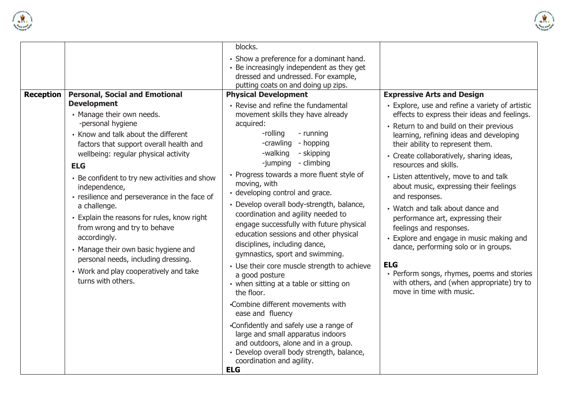



|                  |                                                                                                                                                                                                                                                                                                                                                                                                                                                                                                                                                                                              | blocks.                                                                                                                                                                                                                                                                                                                                                                                                                                                                                                                                                                                                                                                                                              |                                                                                                                                                                                                                                                                                                                                                                                                                                                                                                                                                                                                                                                                                                                                    |
|------------------|----------------------------------------------------------------------------------------------------------------------------------------------------------------------------------------------------------------------------------------------------------------------------------------------------------------------------------------------------------------------------------------------------------------------------------------------------------------------------------------------------------------------------------------------------------------------------------------------|------------------------------------------------------------------------------------------------------------------------------------------------------------------------------------------------------------------------------------------------------------------------------------------------------------------------------------------------------------------------------------------------------------------------------------------------------------------------------------------------------------------------------------------------------------------------------------------------------------------------------------------------------------------------------------------------------|------------------------------------------------------------------------------------------------------------------------------------------------------------------------------------------------------------------------------------------------------------------------------------------------------------------------------------------------------------------------------------------------------------------------------------------------------------------------------------------------------------------------------------------------------------------------------------------------------------------------------------------------------------------------------------------------------------------------------------|
|                  |                                                                                                                                                                                                                                                                                                                                                                                                                                                                                                                                                                                              | • Show a preference for a dominant hand.<br>• Be increasingly independent as they get<br>dressed and undressed. For example,<br>putting coats on and doing up zips.                                                                                                                                                                                                                                                                                                                                                                                                                                                                                                                                  |                                                                                                                                                                                                                                                                                                                                                                                                                                                                                                                                                                                                                                                                                                                                    |
| <b>Reception</b> | <b>Personal, Social and Emotional</b>                                                                                                                                                                                                                                                                                                                                                                                                                                                                                                                                                        | <b>Physical Development</b>                                                                                                                                                                                                                                                                                                                                                                                                                                                                                                                                                                                                                                                                          | <b>Expressive Arts and Design</b>                                                                                                                                                                                                                                                                                                                                                                                                                                                                                                                                                                                                                                                                                                  |
|                  | <b>Development</b><br>• Manage their own needs.<br>-personal hygiene<br>• Know and talk about the different<br>factors that support overall health and<br>wellbeing: regular physical activity<br><b>ELG</b><br>• Be confident to try new activities and show<br>independence,<br>· resilience and perseverance in the face of<br>a challenge.<br>• Explain the reasons for rules, know right<br>from wrong and try to behave<br>accordingly.<br>• Manage their own basic hygiene and<br>personal needs, including dressing.<br>• Work and play cooperatively and take<br>turns with others. | • Revise and refine the fundamental<br>movement skills they have already<br>acquired:<br>-rolling<br>- running<br>-crawling<br>- hopping<br>-walking<br>- skipping<br>-jumping - climbing<br>• Progress towards a more fluent style of<br>moving, with<br>· developing control and grace.<br>· Develop overall body-strength, balance,<br>coordination and agility needed to<br>engage successfully with future physical<br>education sessions and other physical<br>disciplines, including dance,<br>gymnastics, sport and swimming.<br>• Use their core muscle strength to achieve<br>a good posture<br>• when sitting at a table or sitting on<br>the floor.<br>•Combine different movements with | • Explore, use and refine a variety of artistic<br>effects to express their ideas and feelings.<br>• Return to and build on their previous<br>learning, refining ideas and developing<br>their ability to represent them.<br>• Create collaboratively, sharing ideas,<br>resources and skills.<br>• Listen attentively, move to and talk<br>about music, expressing their feelings<br>and responses.<br>• Watch and talk about dance and<br>performance art, expressing their<br>feelings and responses.<br>• Explore and engage in music making and<br>dance, performing solo or in groups.<br><b>ELG</b><br>• Perform songs, rhymes, poems and stories<br>with others, and (when appropriate) try to<br>move in time with music. |
|                  |                                                                                                                                                                                                                                                                                                                                                                                                                                                                                                                                                                                              | ease and fluency<br>•Confidently and safely use a range of<br>large and small apparatus indoors<br>and outdoors, alone and in a group.<br>· Develop overall body strength, balance,<br>coordination and agility.<br><b>ELG</b>                                                                                                                                                                                                                                                                                                                                                                                                                                                                       |                                                                                                                                                                                                                                                                                                                                                                                                                                                                                                                                                                                                                                                                                                                                    |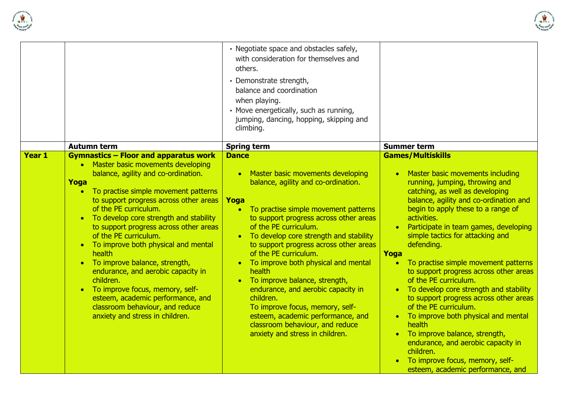



|               |                                                                                                                                                                                                                                                                                                                                                                                                                                                                                                                                                                                                         | • Negotiate space and obstacles safely,<br>with consideration for themselves and<br>others.<br>• Demonstrate strength,<br>balance and coordination<br>when playing.<br>• Move energetically, such as running,<br>jumping, dancing, hopping, skipping and<br>climbing.                                                                                                                                                                                                                                                                                                                               | <b>Summer term</b>                                                                                                                                                                                                                                                                                                                                                                                                                                                                                                                                                                                                                                                                                                                                                                                     |  |  |
|---------------|---------------------------------------------------------------------------------------------------------------------------------------------------------------------------------------------------------------------------------------------------------------------------------------------------------------------------------------------------------------------------------------------------------------------------------------------------------------------------------------------------------------------------------------------------------------------------------------------------------|-----------------------------------------------------------------------------------------------------------------------------------------------------------------------------------------------------------------------------------------------------------------------------------------------------------------------------------------------------------------------------------------------------------------------------------------------------------------------------------------------------------------------------------------------------------------------------------------------------|--------------------------------------------------------------------------------------------------------------------------------------------------------------------------------------------------------------------------------------------------------------------------------------------------------------------------------------------------------------------------------------------------------------------------------------------------------------------------------------------------------------------------------------------------------------------------------------------------------------------------------------------------------------------------------------------------------------------------------------------------------------------------------------------------------|--|--|
| <b>Year 1</b> | <b>Autumn term</b><br><b>Gymnastics - Floor and apparatus work</b>                                                                                                                                                                                                                                                                                                                                                                                                                                                                                                                                      | <b>Spring term</b><br><b>Dance</b>                                                                                                                                                                                                                                                                                                                                                                                                                                                                                                                                                                  | <b>Games/Multiskills</b>                                                                                                                                                                                                                                                                                                                                                                                                                                                                                                                                                                                                                                                                                                                                                                               |  |  |
|               | • Master basic movements developing<br>balance, agility and co-ordination.<br>Yoga<br>• To practise simple movement patterns<br>to support progress across other areas<br>of the PE curriculum.<br>• To develop core strength and stability<br>to support progress across other areas<br>of the PE curriculum.<br>• To improve both physical and mental<br>health<br>• To improve balance, strength,<br>endurance, and aerobic capacity in<br>children.<br>• To improve focus, memory, self-<br>esteem, academic performance, and<br>classroom behaviour, and reduce<br>anxiety and stress in children. | • Master basic movements developing<br>balance, agility and co-ordination.<br>Yoga<br>• To practise simple movement patterns<br>to support progress across other areas<br>of the PE curriculum.<br>• To develop core strength and stability<br>to support progress across other areas<br>of the PE curriculum.<br>To improve both physical and mental<br>health<br>• To improve balance, strength,<br>endurance, and aerobic capacity in<br>children.<br>To improve focus, memory, self-<br>esteem, academic performance, and<br>classroom behaviour, and reduce<br>anxiety and stress in children. | Master basic movements including<br>$\bullet$<br>running, jumping, throwing and<br>catching, as well as developing<br>balance, agility and co-ordination and<br>begin to apply these to a range of<br>activities.<br>Participate in team games, developing<br>$\bullet$<br>simple tactics for attacking and<br>defending.<br>Yoga<br>To practise simple movement patterns<br>$\bullet$<br>to support progress across other areas<br>of the PE curriculum.<br>To develop core strength and stability<br>$\bullet$<br>to support progress across other areas<br>of the PE curriculum.<br>• To improve both physical and mental<br>health<br>• To improve balance, strength,<br>endurance, and aerobic capacity in<br>children.<br>• To improve focus, memory, self-<br>esteem, academic performance, and |  |  |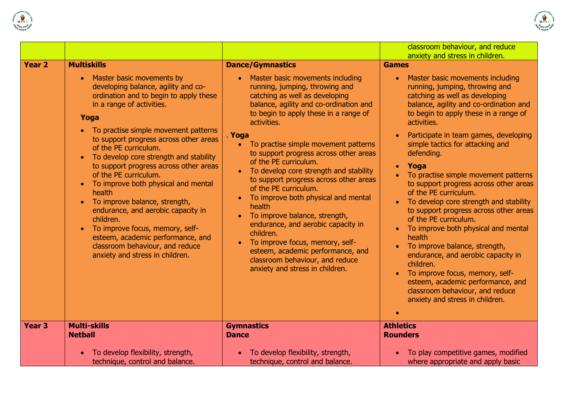



|                   |                                                                                                                                                                                                                                                                                                                                                                                                                                                                                                                                                                                                                                                                                    |                                                                                                                                                                                                                                                                                                                                                                                                                                                                                                                                                                                                                                                                                                                                                                     | classroom behaviour, and reduce<br>anxiety and stress in children.                                                                                                                                                                                                                                                                                                                                                                                                                                                                                                                                                                                                                                                                                                                                |
|-------------------|------------------------------------------------------------------------------------------------------------------------------------------------------------------------------------------------------------------------------------------------------------------------------------------------------------------------------------------------------------------------------------------------------------------------------------------------------------------------------------------------------------------------------------------------------------------------------------------------------------------------------------------------------------------------------------|---------------------------------------------------------------------------------------------------------------------------------------------------------------------------------------------------------------------------------------------------------------------------------------------------------------------------------------------------------------------------------------------------------------------------------------------------------------------------------------------------------------------------------------------------------------------------------------------------------------------------------------------------------------------------------------------------------------------------------------------------------------------|---------------------------------------------------------------------------------------------------------------------------------------------------------------------------------------------------------------------------------------------------------------------------------------------------------------------------------------------------------------------------------------------------------------------------------------------------------------------------------------------------------------------------------------------------------------------------------------------------------------------------------------------------------------------------------------------------------------------------------------------------------------------------------------------------|
| Year <sub>2</sub> | <b>Multiskills</b><br>Master basic movements by<br>developing balance, agility and co-<br>ordination and to begin to apply these<br>in a range of activities.<br>Yoga<br>• To practise simple movement patterns<br>to support progress across other areas<br>of the PE curriculum.<br>To develop core strength and stability<br>to support progress across other areas<br>of the PE curriculum.<br>To improve both physical and mental<br>health<br>To improve balance, strength,<br>endurance, and aerobic capacity in<br>children.<br>To improve focus, memory, self-<br>esteem, academic performance, and<br>classroom behaviour, and reduce<br>anxiety and stress in children. | <b>Dance/Gymnastics</b><br>Master basic movements including<br>running, jumping, throwing and<br>catching as well as developing<br>balance, agility and co-ordination and<br>to begin to apply these in a range of<br>activities.<br>. Yoga<br>To practise simple movement patterns<br>$\bullet$<br>to support progress across other areas<br>of the PE curriculum.<br>To develop core strength and stability<br>to support progress across other areas<br>of the PE curriculum.<br>To improve both physical and mental<br>health<br>To improve balance, strength,<br>endurance, and aerobic capacity in<br>children.<br>To improve focus, memory, self-<br>esteem, academic performance, and<br>classroom behaviour, and reduce<br>anxiety and stress in children. | <b>Games</b><br>Master basic movements including<br>running, jumping, throwing and<br>catching as well as developing<br>balance, agility and co-ordination and<br>to begin to apply these in a range of<br>activities.<br>Participate in team games, developing<br>simple tactics for attacking and<br>defending.<br>Yoga<br>To practise simple movement patterns<br>to support progress across other areas<br>of the PE curriculum.<br>To develop core strength and stability<br>to support progress across other areas<br>of the PE curriculum.<br>To improve both physical and mental<br>health<br>To improve balance, strength,<br>endurance, and aerobic capacity in<br>children.<br>To improve focus, memory, self-<br>esteem, academic performance, and<br>classroom behaviour, and reduce |
|                   |                                                                                                                                                                                                                                                                                                                                                                                                                                                                                                                                                                                                                                                                                    |                                                                                                                                                                                                                                                                                                                                                                                                                                                                                                                                                                                                                                                                                                                                                                     | anxiety and stress in children.                                                                                                                                                                                                                                                                                                                                                                                                                                                                                                                                                                                                                                                                                                                                                                   |
| Year <sub>3</sub> | <b>Multi-skills</b><br><b>Netball</b>                                                                                                                                                                                                                                                                                                                                                                                                                                                                                                                                                                                                                                              | <b>Gymnastics</b><br><b>Dance</b>                                                                                                                                                                                                                                                                                                                                                                                                                                                                                                                                                                                                                                                                                                                                   | <b>Athletics</b><br><b>Rounders</b>                                                                                                                                                                                                                                                                                                                                                                                                                                                                                                                                                                                                                                                                                                                                                               |
|                   | To develop flexibility, strength,<br>technique, control and balance.                                                                                                                                                                                                                                                                                                                                                                                                                                                                                                                                                                                                               | To develop flexibility, strength,<br>technique, control and balance.                                                                                                                                                                                                                                                                                                                                                                                                                                                                                                                                                                                                                                                                                                | To play competitive games, modified<br>where appropriate and apply basic                                                                                                                                                                                                                                                                                                                                                                                                                                                                                                                                                                                                                                                                                                                          |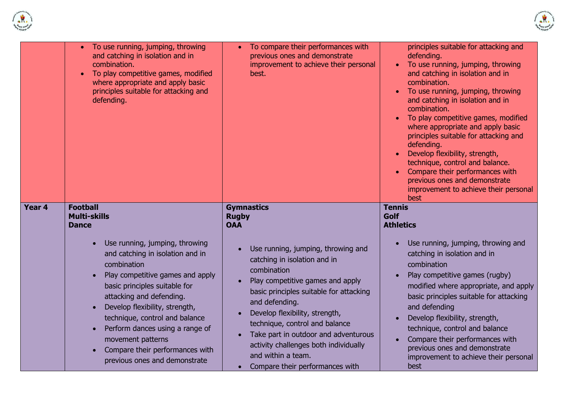



|        | To use running, jumping, throwing<br>and catching in isolation and in<br>combination.<br>To play competitive games, modified<br>where appropriate and apply basic<br>principles suitable for attacking and<br>defending.                                                                                                                                                                        | To compare their performances with<br>previous ones and demonstrate<br>improvement to achieve their personal<br>best.                                                                                                                                                                                                                                                                            | principles suitable for attacking and<br>defending.<br>To use running, jumping, throwing<br>and catching in isolation and in<br>combination.<br>To use running, jumping, throwing<br>and catching in isolation and in<br>combination.<br>To play competitive games, modified<br>where appropriate and apply basic<br>principles suitable for attacking and<br>defending.<br>Develop flexibility, strength,<br>technique, control and balance.<br>Compare their performances with<br>previous ones and demonstrate<br>improvement to achieve their personal<br>best |  |  |
|--------|-------------------------------------------------------------------------------------------------------------------------------------------------------------------------------------------------------------------------------------------------------------------------------------------------------------------------------------------------------------------------------------------------|--------------------------------------------------------------------------------------------------------------------------------------------------------------------------------------------------------------------------------------------------------------------------------------------------------------------------------------------------------------------------------------------------|--------------------------------------------------------------------------------------------------------------------------------------------------------------------------------------------------------------------------------------------------------------------------------------------------------------------------------------------------------------------------------------------------------------------------------------------------------------------------------------------------------------------------------------------------------------------|--|--|
| Year 4 | <b>Football</b><br><b>Multi-skills</b><br><b>Dance</b>                                                                                                                                                                                                                                                                                                                                          | <b>Gymnastics</b><br><b>Rugby</b><br><b>OAA</b>                                                                                                                                                                                                                                                                                                                                                  | <b>Tennis</b><br><b>Golf</b><br><b>Athletics</b>                                                                                                                                                                                                                                                                                                                                                                                                                                                                                                                   |  |  |
|        | Use running, jumping, throwing<br>and catching in isolation and in<br>combination<br>Play competitive games and apply<br>basic principles suitable for<br>attacking and defending.<br>Develop flexibility, strength,<br>technique, control and balance<br>Perform dances using a range of<br>$\bullet$<br>movement patterns<br>Compare their performances with<br>previous ones and demonstrate | Use running, jumping, throwing and<br>catching in isolation and in<br>combination<br>Play competitive games and apply<br>basic principles suitable for attacking<br>and defending.<br>Develop flexibility, strength,<br>technique, control and balance<br>Take part in outdoor and adventurous<br>activity challenges both individually<br>and within a team.<br>Compare their performances with | Use running, jumping, throwing and<br>catching in isolation and in<br>combination<br>Play competitive games (rugby)<br>modified where appropriate, and apply<br>basic principles suitable for attacking<br>and defending<br>Develop flexibility, strength,<br>technique, control and balance<br>Compare their performances with<br>previous ones and demonstrate<br>improvement to achieve their personal<br>best                                                                                                                                                  |  |  |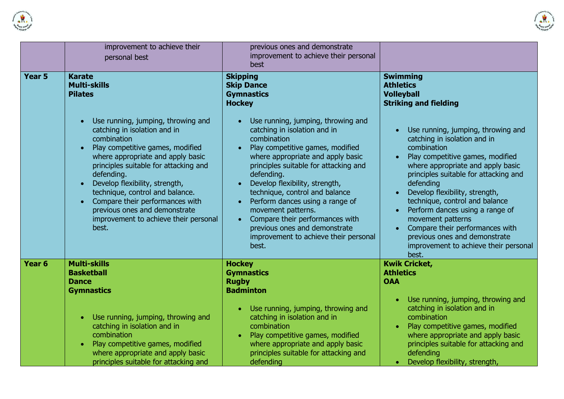



|                   | improvement to achieve their<br>personal best                                                                                                                                                                                                                                                                                                                                                                | previous ones and demonstrate<br>improvement to achieve their personal<br>best                                                                                                                                                                                                                                                                                                                                                                                       |                                                                                                                                                                                                                                                                                                                                                                                                                                                                                                           |  |  |
|-------------------|--------------------------------------------------------------------------------------------------------------------------------------------------------------------------------------------------------------------------------------------------------------------------------------------------------------------------------------------------------------------------------------------------------------|----------------------------------------------------------------------------------------------------------------------------------------------------------------------------------------------------------------------------------------------------------------------------------------------------------------------------------------------------------------------------------------------------------------------------------------------------------------------|-----------------------------------------------------------------------------------------------------------------------------------------------------------------------------------------------------------------------------------------------------------------------------------------------------------------------------------------------------------------------------------------------------------------------------------------------------------------------------------------------------------|--|--|
| Year <sub>5</sub> | <b>Karate</b><br><b>Multi-skills</b><br><b>Pilates</b>                                                                                                                                                                                                                                                                                                                                                       | <b>Skipping</b><br><b>Skip Dance</b><br><b>Gymnastics</b><br><b>Hockey</b>                                                                                                                                                                                                                                                                                                                                                                                           | <b>Swimming</b><br><b>Athletics</b><br><b>Volleyball</b><br><b>Striking and fielding</b>                                                                                                                                                                                                                                                                                                                                                                                                                  |  |  |
|                   | Use running, jumping, throwing and<br>catching in isolation and in<br>combination<br>Play competitive games, modified<br>where appropriate and apply basic<br>principles suitable for attacking and<br>defending.<br>Develop flexibility, strength,<br>technique, control and balance.<br>Compare their performances with<br>previous ones and demonstrate<br>improvement to achieve their personal<br>best. | Use running, jumping, throwing and<br>catching in isolation and in<br>combination<br>Play competitive games, modified<br>where appropriate and apply basic<br>principles suitable for attacking and<br>defending.<br>Develop flexibility, strength,<br>technique, control and balance<br>Perform dances using a range of<br>movement patterns.<br>Compare their performances with<br>previous ones and demonstrate<br>improvement to achieve their personal<br>best. | Use running, jumping, throwing and<br>catching in isolation and in<br>combination<br>Play competitive games, modified<br>$\bullet$<br>where appropriate and apply basic<br>principles suitable for attacking and<br>defending<br>Develop flexibility, strength,<br>technique, control and balance<br>Perform dances using a range of<br>$\bullet$<br>movement patterns<br>Compare their performances with<br>$\bullet$<br>previous ones and demonstrate<br>improvement to achieve their personal<br>best. |  |  |
| Year <sub>6</sub> | <b>Multi-skills</b><br><b>Basketball</b><br><b>Dance</b><br><b>Gymnastics</b>                                                                                                                                                                                                                                                                                                                                | <b>Hockey</b><br><b>Gymnastics</b><br><b>Rugby</b><br><b>Badminton</b>                                                                                                                                                                                                                                                                                                                                                                                               | <b>Kwik Cricket,</b><br><b>Athletics</b><br><b>OAA</b>                                                                                                                                                                                                                                                                                                                                                                                                                                                    |  |  |
|                   | Use running, jumping, throwing and<br>catching in isolation and in<br>combination<br>Play competitive games, modified<br>$\bullet$<br>where appropriate and apply basic<br>principles suitable for attacking and                                                                                                                                                                                             | Use running, jumping, throwing and<br>catching in isolation and in<br>combination<br>Play competitive games, modified<br>where appropriate and apply basic<br>principles suitable for attacking and<br>defending                                                                                                                                                                                                                                                     | Use running, jumping, throwing and<br>catching in isolation and in<br>combination<br>Play competitive games, modified<br>$\bullet$<br>where appropriate and apply basic<br>principles suitable for attacking and<br>defending<br>Develop flexibility, strength,<br>$\bullet$                                                                                                                                                                                                                              |  |  |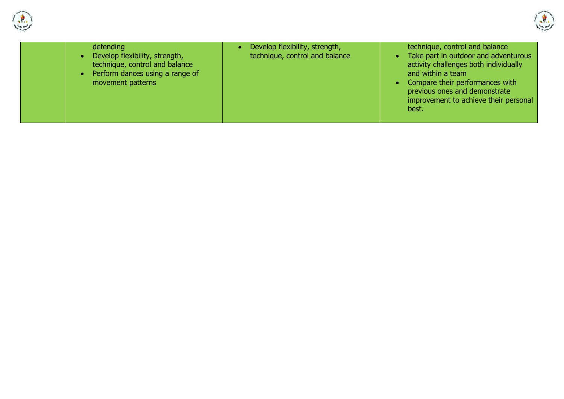



| defending<br>Develop flexibility, strength,<br>technique, control and balance<br>Perform dances using a range of<br>movement patterns | Develop flexibility, strength,<br>technique, control and balance | technique, control and balance<br>• Take part in outdoor and adventurous<br>activity challenges both individually<br>and within a team<br>• Compare their performances with<br>previous ones and demonstrate<br>improvement to achieve their personal<br>best. |
|---------------------------------------------------------------------------------------------------------------------------------------|------------------------------------------------------------------|----------------------------------------------------------------------------------------------------------------------------------------------------------------------------------------------------------------------------------------------------------------|
|---------------------------------------------------------------------------------------------------------------------------------------|------------------------------------------------------------------|----------------------------------------------------------------------------------------------------------------------------------------------------------------------------------------------------------------------------------------------------------------|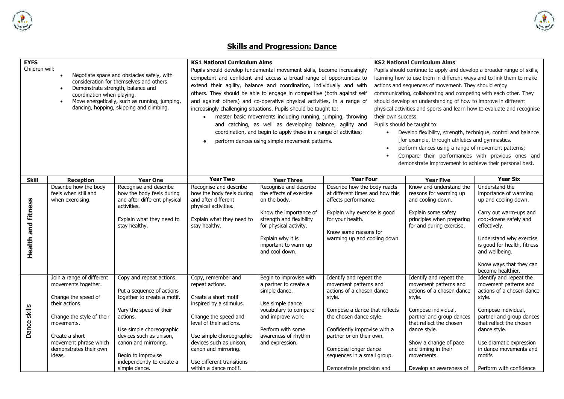

## **Skills and Progression: Dance**

**AR** Report of

| <b>EYFS</b>                                                                                                                                                                                                                                                             |                                                                                                                                                                                                                     |                                                                                                                                                                                                                                                                                | <b>KS1 National Curriculum Aims</b>                                                                                                                                                                                                                                                                                                                                                                                                                                                                                                                                                                                                                                                                             |                                                                                                                                                                                                                  |                                                                                                                                                                                                                                                                                                     |                                                                                                                                                                                                                                                                                                                                                                                                                                                                                                                                                                                                                                                                                                                                                                                                             | <b>KS2 National Curriculum Aims</b>                                                                                                                                                                                                                                            |                                                                                                                                                                                                                                                                                 |
|-------------------------------------------------------------------------------------------------------------------------------------------------------------------------------------------------------------------------------------------------------------------------|---------------------------------------------------------------------------------------------------------------------------------------------------------------------------------------------------------------------|--------------------------------------------------------------------------------------------------------------------------------------------------------------------------------------------------------------------------------------------------------------------------------|-----------------------------------------------------------------------------------------------------------------------------------------------------------------------------------------------------------------------------------------------------------------------------------------------------------------------------------------------------------------------------------------------------------------------------------------------------------------------------------------------------------------------------------------------------------------------------------------------------------------------------------------------------------------------------------------------------------------|------------------------------------------------------------------------------------------------------------------------------------------------------------------------------------------------------------------|-----------------------------------------------------------------------------------------------------------------------------------------------------------------------------------------------------------------------------------------------------------------------------------------------------|-------------------------------------------------------------------------------------------------------------------------------------------------------------------------------------------------------------------------------------------------------------------------------------------------------------------------------------------------------------------------------------------------------------------------------------------------------------------------------------------------------------------------------------------------------------------------------------------------------------------------------------------------------------------------------------------------------------------------------------------------------------------------------------------------------------|--------------------------------------------------------------------------------------------------------------------------------------------------------------------------------------------------------------------------------------------------------------------------------|---------------------------------------------------------------------------------------------------------------------------------------------------------------------------------------------------------------------------------------------------------------------------------|
| Children will:<br>Negotiate space and obstacles safely, with<br>consideration for themselves and others<br>Demonstrate strength, balance and<br>coordination when playing.<br>Move energetically, such as running, jumping,<br>dancing, hopping, skipping and climbing. |                                                                                                                                                                                                                     |                                                                                                                                                                                                                                                                                | Pupils should develop fundamental movement skills, become increasingly<br>competent and confident and access a broad range of opportunities to<br>extend their agility, balance and coordination, individually and with<br>others. They should be able to engage in competitive (both against self<br>and against others) and co-operative physical activities, in a range of<br>increasingly challenging situations. Pupils should be taught to:<br>master basic movements including running, jumping, throwing<br>$\bullet$<br>and catching, as well as developing balance, agility and<br>coordination, and begin to apply these in a range of activities;<br>perform dances using simple movement patterns. |                                                                                                                                                                                                                  |                                                                                                                                                                                                                                                                                                     | Pupils should continue to apply and develop a broader range of skills,<br>learning how to use them in different ways and to link them to make<br>actions and sequences of movement. They should enjoy<br>communicating, collaborating and competing with each other. They<br>should develop an understanding of how to improve in different<br>physical activities and sports and learn how to evaluate and recognise<br>their own success.<br>Pupils should be taught to:<br>Develop flexibility, strength, technique, control and balance<br>$\bullet$<br>[for example, through athletics and gymnastics.<br>perform dances using a range of movement patterns;<br>$\bullet$<br>Compare their performances with previous ones and<br>$\bullet$<br>demonstrate improvement to achieve their personal best. |                                                                                                                                                                                                                                                                                |                                                                                                                                                                                                                                                                                 |
| <b>Skill</b>                                                                                                                                                                                                                                                            | <b>Reception</b>                                                                                                                                                                                                    | <b>Year One</b>                                                                                                                                                                                                                                                                | <b>Year Two</b>                                                                                                                                                                                                                                                                                                                                                                                                                                                                                                                                                                                                                                                                                                 | <b>Year Three</b>                                                                                                                                                                                                | <b>Year Four</b>                                                                                                                                                                                                                                                                                    |                                                                                                                                                                                                                                                                                                                                                                                                                                                                                                                                                                                                                                                                                                                                                                                                             | <b>Year Five</b>                                                                                                                                                                                                                                                               | <b>Year Six</b>                                                                                                                                                                                                                                                                 |
| Health and fitness                                                                                                                                                                                                                                                      | Describe how the body<br>feels when still and<br>when exercising.                                                                                                                                                   | Recognise and describe<br>how the body feels during<br>and after different physical<br>activities.<br>Explain what they need to<br>stay healthy.                                                                                                                               | Recognise and describe<br>how the body feels during<br>and after different<br>physical activities.<br>Explain what they need to<br>stay healthy.                                                                                                                                                                                                                                                                                                                                                                                                                                                                                                                                                                | Recognise and describe<br>the effects of exercise<br>on the body.<br>Know the importance of<br>strength and flexibility<br>for physical activity.<br>Explain why it is<br>important to warm up<br>and cool down. | Describe how the body reacts<br>at different times and how this<br>affects performance.<br>Explain why exercise is good<br>for your health.<br>Know some reasons for<br>warming up and cooling down.                                                                                                |                                                                                                                                                                                                                                                                                                                                                                                                                                                                                                                                                                                                                                                                                                                                                                                                             | Know and understand the<br>reasons for warming up<br>and cooling down.<br>Explain some safety<br>principles when preparing<br>for and during exercise.                                                                                                                         | Understand the<br>importance of warming<br>up and cooling down.<br>Carry out warm-ups and<br>coo;-downs safely and<br>effectively.<br>Understand why exercise<br>is good for health, fitness<br>and wellbeing.<br>Know ways that they can<br>become healthier.                  |
| Dance skills                                                                                                                                                                                                                                                            | Join a range of different<br>movements together.<br>Change the speed of<br>their actions.<br>Change the style of their<br>movements.<br>Create a short<br>movement phrase which<br>demonstrates their own<br>ideas. | Copy and repeat actions.<br>Put a sequence of actions<br>together to create a motif.<br>Vary the speed of their<br>actions.<br>Use simple choreographic<br>devices such as unison,<br>canon and mirroring.<br>Begin to improvise<br>independently to create a<br>simple dance. | Copy, remember and<br>repeat actions.<br>Create a short motif<br>inspired by a stimulus.<br>Change the speed and<br>level of their actions.<br>Use simple choreographic<br>devices such as unison,<br>canon and mirroring.<br>Use different transitions<br>within a dance motif.                                                                                                                                                                                                                                                                                                                                                                                                                                | Begin to improvise with<br>a partner to create a<br>simple dance.<br>Use simple dance<br>vocabulary to compare<br>and improve work.<br>Perform with some<br>awareness of rhythm<br>and expression.               | Identify and repeat the<br>movement patterns and<br>actions of a chosen dance<br>style.<br>Compose a dance that reflects<br>the chosen dance style.<br>Confidently improvise with a<br>partner or on their own.<br>Compose longer dance<br>sequences in a small group.<br>Demonstrate precision and |                                                                                                                                                                                                                                                                                                                                                                                                                                                                                                                                                                                                                                                                                                                                                                                                             | Identify and repeat the<br>movement patterns and<br>actions of a chosen dance<br>style.<br>Compose individual,<br>partner and group dances<br>that reflect the chosen<br>dance style.<br>Show a change of pace<br>and timing in their<br>movements.<br>Develop an awareness of | Identify and repeat the<br>movement patterns and<br>actions of a chosen dance<br>style.<br>Compose individual,<br>partner and group dances<br>that reflect the chosen<br>dance style.<br>Use dramatic expression<br>in dance movements and<br>motifs<br>Perform with confidence |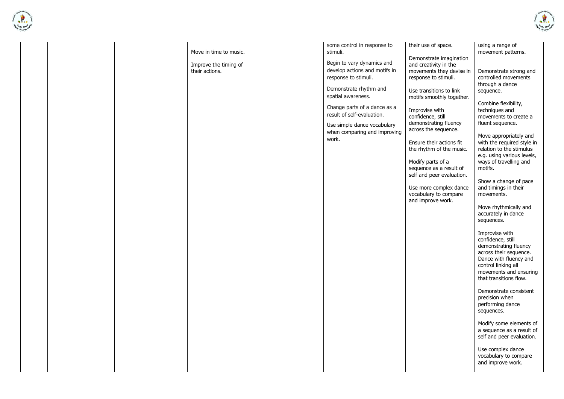



|  | Move in time to music. | some control in response to<br>stimuli. | their use of space.                              | using a range of<br>movement patterns.                 |
|--|------------------------|-----------------------------------------|--------------------------------------------------|--------------------------------------------------------|
|  | Improve the timing of  | Begin to vary dynamics and              | Demonstrate imagination<br>and creativity in the |                                                        |
|  | their actions.         | develop actions and motifs in           | movements they devise in                         | Demonstrate strong and                                 |
|  |                        | response to stimuli.                    | response to stimuli.                             | controlled movements                                   |
|  |                        |                                         |                                                  | through a dance                                        |
|  |                        | Demonstrate rhythm and                  | Use transitions to link                          | sequence.                                              |
|  |                        | spatial awareness.                      | motifs smoothly together.                        |                                                        |
|  |                        | Change parts of a dance as a            | Improvise with                                   | Combine flexibility,<br>techniques and                 |
|  |                        | result of self-evaluation.              | confidence, still                                | movements to create a                                  |
|  |                        | Use simple dance vocabulary             | demonstrating fluency                            | fluent sequence.                                       |
|  |                        | when comparing and improving            | across the sequence.                             |                                                        |
|  |                        | work.                                   |                                                  | Move appropriately and                                 |
|  |                        |                                         | Ensure their actions fit                         | with the required style in                             |
|  |                        |                                         | the rhythm of the music.                         | relation to the stimulus<br>e.g. using various levels, |
|  |                        |                                         | Modify parts of a                                | ways of travelling and                                 |
|  |                        |                                         | sequence as a result of                          | motifs.                                                |
|  |                        |                                         | self and peer evaluation.                        |                                                        |
|  |                        |                                         |                                                  | Show a change of pace                                  |
|  |                        |                                         | Use more complex dance                           | and timings in their                                   |
|  |                        |                                         | vocabulary to compare                            | movements.                                             |
|  |                        |                                         | and improve work.                                | Move rhythmically and                                  |
|  |                        |                                         |                                                  | accurately in dance                                    |
|  |                        |                                         |                                                  | sequences.                                             |
|  |                        |                                         |                                                  |                                                        |
|  |                        |                                         |                                                  | Improvise with                                         |
|  |                        |                                         |                                                  | confidence, still                                      |
|  |                        |                                         |                                                  | demonstrating fluency<br>across their sequence.        |
|  |                        |                                         |                                                  | Dance with fluency and                                 |
|  |                        |                                         |                                                  | control linking all                                    |
|  |                        |                                         |                                                  | movements and ensuring                                 |
|  |                        |                                         |                                                  | that transitions flow.                                 |
|  |                        |                                         |                                                  |                                                        |
|  |                        |                                         |                                                  | Demonstrate consistent<br>precision when               |
|  |                        |                                         |                                                  | performing dance                                       |
|  |                        |                                         |                                                  | sequences.                                             |
|  |                        |                                         |                                                  |                                                        |
|  |                        |                                         |                                                  | Modify some elements of                                |
|  |                        |                                         |                                                  | a sequence as a result of                              |
|  |                        |                                         |                                                  | self and peer evaluation.                              |
|  |                        |                                         |                                                  | Use complex dance                                      |
|  |                        |                                         |                                                  | vocabulary to compare                                  |
|  |                        |                                         |                                                  | and improve work.                                      |
|  |                        |                                         |                                                  |                                                        |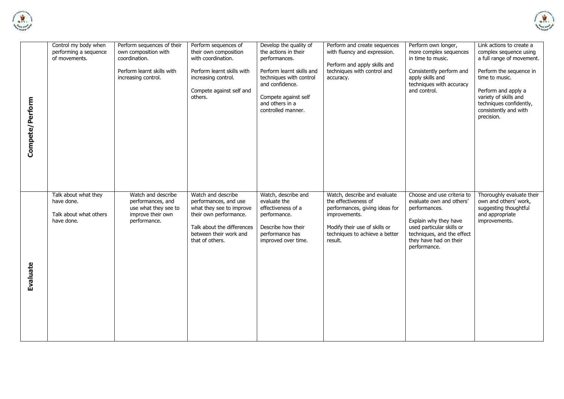



|                 | Control my body when<br>performing a sequence | Perform sequences of their<br>own composition with | Perform sequences of<br>their own composition | Develop the quality of<br>the actions in their | Perform and create sequences<br>with fluency and expression. | Perform own longer,<br>more complex sequences | Link actions to create a<br>complex sequence using |
|-----------------|-----------------------------------------------|----------------------------------------------------|-----------------------------------------------|------------------------------------------------|--------------------------------------------------------------|-----------------------------------------------|----------------------------------------------------|
|                 | of movements.                                 | coordination.                                      | with coordination.                            | performances.                                  |                                                              | in time to music.                             | a full range of movement.                          |
|                 |                                               |                                                    |                                               |                                                | Perform and apply skills and                                 |                                               |                                                    |
|                 |                                               | Perform learnt skills with                         | Perform learnt skills with                    | Perform learnt skills and                      | techniques with control and                                  | Consistently perform and                      | Perform the sequence in                            |
|                 |                                               | increasing control.                                | increasing control.                           | techniques with control                        | accuracy.                                                    | apply skills and                              | time to music.                                     |
|                 |                                               |                                                    |                                               | and confidence.                                |                                                              | techniques with accuracy                      |                                                    |
|                 |                                               |                                                    | Compete against self and                      |                                                |                                                              | and control.                                  | Perform and apply a                                |
|                 |                                               |                                                    | others.                                       | Compete against self                           |                                                              |                                               | variety of skills and                              |
|                 |                                               |                                                    |                                               | and others in a<br>controlled manner.          |                                                              |                                               | techniques confidently,                            |
| Compete/Perform |                                               |                                                    |                                               |                                                |                                                              |                                               | consistently and with<br>precision.                |
|                 |                                               |                                                    |                                               |                                                |                                                              |                                               |                                                    |
|                 |                                               |                                                    |                                               |                                                |                                                              |                                               |                                                    |
|                 |                                               |                                                    |                                               |                                                |                                                              |                                               |                                                    |
|                 |                                               |                                                    |                                               |                                                |                                                              |                                               |                                                    |
|                 |                                               |                                                    |                                               |                                                |                                                              |                                               |                                                    |
|                 |                                               |                                                    |                                               |                                                |                                                              |                                               |                                                    |
|                 |                                               |                                                    |                                               |                                                |                                                              |                                               |                                                    |
|                 |                                               |                                                    |                                               |                                                |                                                              |                                               |                                                    |
|                 |                                               |                                                    |                                               |                                                |                                                              |                                               |                                                    |
|                 |                                               |                                                    |                                               |                                                |                                                              |                                               |                                                    |
|                 | Talk about what they                          | Watch and describe                                 | Watch and describe                            | Watch, describe and                            | Watch, describe and evaluate                                 | Choose and use criteria to                    | Thoroughly evaluate their                          |
|                 | have done.                                    | performances, and                                  | performances, and use                         | evaluate the                                   | the effectiveness of                                         | evaluate own and others'                      | own and others' work,                              |
|                 |                                               | use what they see to                               | what they see to improve                      | effectiveness of a                             | performances, giving ideas for                               | performances.                                 | suggesting thoughtful                              |
|                 |                                               |                                                    |                                               |                                                |                                                              |                                               |                                                    |
|                 | Talk about what others                        | improve their own                                  | their own performance.                        | performance.                                   | improvements.                                                |                                               | and appropriate                                    |
|                 | have done.                                    | performance.                                       |                                               |                                                |                                                              | Explain why they have                         | improvements.                                      |
|                 |                                               |                                                    | Talk about the differences                    | Describe how their                             | Modify their use of skills or                                | used particular skills or                     |                                                    |
|                 |                                               |                                                    | between their work and                        | performance has                                | techniques to achieve a better                               | techniques, and the effect                    |                                                    |
|                 |                                               |                                                    | that of others.                               | improved over time.                            | result.                                                      | they have had on their                        |                                                    |
|                 |                                               |                                                    |                                               |                                                |                                                              | performance.                                  |                                                    |
|                 |                                               |                                                    |                                               |                                                |                                                              |                                               |                                                    |
|                 |                                               |                                                    |                                               |                                                |                                                              |                                               |                                                    |
|                 |                                               |                                                    |                                               |                                                |                                                              |                                               |                                                    |
|                 |                                               |                                                    |                                               |                                                |                                                              |                                               |                                                    |
| <b>Evaluate</b> |                                               |                                                    |                                               |                                                |                                                              |                                               |                                                    |
|                 |                                               |                                                    |                                               |                                                |                                                              |                                               |                                                    |
|                 |                                               |                                                    |                                               |                                                |                                                              |                                               |                                                    |
|                 |                                               |                                                    |                                               |                                                |                                                              |                                               |                                                    |
|                 |                                               |                                                    |                                               |                                                |                                                              |                                               |                                                    |
|                 |                                               |                                                    |                                               |                                                |                                                              |                                               |                                                    |
|                 |                                               |                                                    |                                               |                                                |                                                              |                                               |                                                    |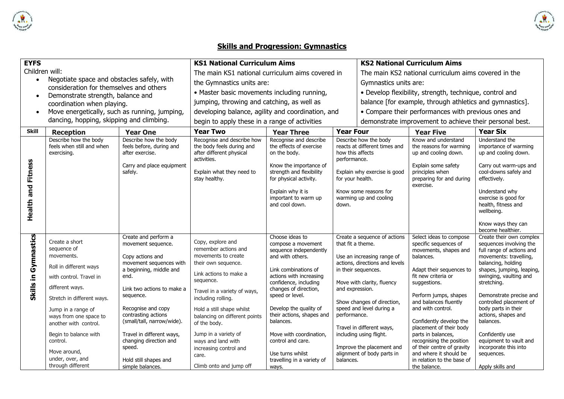

# **Skills and Progression: Gymnastics**

**All Schools Rd** 

| <b>EYFS</b>               |                                                                                                                                                                                                                                                                                                                          |                                                                                                                                                                                                                                                                                                                                                                  | <b>KS1 National Curriculum Aims</b>                                                                                                                                                                                                                                                                                                                                            |                                                                                                                                                                                                                                                                                                                                                                                            |                                                                   |                                                                                                                                                                                                                                                                                                                                | <b>KS2 National Curriculum Aims</b>                                                                                                                                                                                                                                                                                                                                                                                                            |                                                                                                                                                                                                                                                                                                                                                                                                                                 |  |
|---------------------------|--------------------------------------------------------------------------------------------------------------------------------------------------------------------------------------------------------------------------------------------------------------------------------------------------------------------------|------------------------------------------------------------------------------------------------------------------------------------------------------------------------------------------------------------------------------------------------------------------------------------------------------------------------------------------------------------------|--------------------------------------------------------------------------------------------------------------------------------------------------------------------------------------------------------------------------------------------------------------------------------------------------------------------------------------------------------------------------------|--------------------------------------------------------------------------------------------------------------------------------------------------------------------------------------------------------------------------------------------------------------------------------------------------------------------------------------------------------------------------------------------|-------------------------------------------------------------------|--------------------------------------------------------------------------------------------------------------------------------------------------------------------------------------------------------------------------------------------------------------------------------------------------------------------------------|------------------------------------------------------------------------------------------------------------------------------------------------------------------------------------------------------------------------------------------------------------------------------------------------------------------------------------------------------------------------------------------------------------------------------------------------|---------------------------------------------------------------------------------------------------------------------------------------------------------------------------------------------------------------------------------------------------------------------------------------------------------------------------------------------------------------------------------------------------------------------------------|--|
| Children will:            |                                                                                                                                                                                                                                                                                                                          |                                                                                                                                                                                                                                                                                                                                                                  | The main KS1 national curriculum aims covered in                                                                                                                                                                                                                                                                                                                               |                                                                                                                                                                                                                                                                                                                                                                                            |                                                                   | The main KS2 national curriculum aims covered in the                                                                                                                                                                                                                                                                           |                                                                                                                                                                                                                                                                                                                                                                                                                                                |                                                                                                                                                                                                                                                                                                                                                                                                                                 |  |
| $\bullet$                 | Negotiate space and obstacles safely, with<br>consideration for themselves and others<br>Demonstrate strength, balance and                                                                                                                                                                                               |                                                                                                                                                                                                                                                                                                                                                                  | the Gymnastics units are:                                                                                                                                                                                                                                                                                                                                                      |                                                                                                                                                                                                                                                                                                                                                                                            |                                                                   | Gymnastics units are:                                                                                                                                                                                                                                                                                                          |                                                                                                                                                                                                                                                                                                                                                                                                                                                |                                                                                                                                                                                                                                                                                                                                                                                                                                 |  |
| $\bullet$                 |                                                                                                                                                                                                                                                                                                                          |                                                                                                                                                                                                                                                                                                                                                                  | • Master basic movements including running,                                                                                                                                                                                                                                                                                                                                    |                                                                                                                                                                                                                                                                                                                                                                                            |                                                                   |                                                                                                                                                                                                                                                                                                                                | • Develop flexibility, strength, technique, control and                                                                                                                                                                                                                                                                                                                                                                                        |                                                                                                                                                                                                                                                                                                                                                                                                                                 |  |
|                           | coordination when playing.                                                                                                                                                                                                                                                                                               |                                                                                                                                                                                                                                                                                                                                                                  | jumping, throwing and catching, as well as                                                                                                                                                                                                                                                                                                                                     |                                                                                                                                                                                                                                                                                                                                                                                            |                                                                   |                                                                                                                                                                                                                                                                                                                                | balance [for example, through athletics and gymnastics].                                                                                                                                                                                                                                                                                                                                                                                       |                                                                                                                                                                                                                                                                                                                                                                                                                                 |  |
| $\bullet$                 | Move energetically, such as running, jumping,                                                                                                                                                                                                                                                                            |                                                                                                                                                                                                                                                                                                                                                                  | developing balance, agility and coordination, and                                                                                                                                                                                                                                                                                                                              |                                                                                                                                                                                                                                                                                                                                                                                            |                                                                   |                                                                                                                                                                                                                                                                                                                                | • Compare their performances with previous ones and                                                                                                                                                                                                                                                                                                                                                                                            |                                                                                                                                                                                                                                                                                                                                                                                                                                 |  |
|                           | dancing, hopping, skipping and climbing.                                                                                                                                                                                                                                                                                 |                                                                                                                                                                                                                                                                                                                                                                  | begin to apply these in a range of activities                                                                                                                                                                                                                                                                                                                                  |                                                                                                                                                                                                                                                                                                                                                                                            |                                                                   |                                                                                                                                                                                                                                                                                                                                | demonstrate improvement to achieve their personal best.                                                                                                                                                                                                                                                                                                                                                                                        |                                                                                                                                                                                                                                                                                                                                                                                                                                 |  |
| <b>Skill</b>              | <b>Reception</b>                                                                                                                                                                                                                                                                                                         | <b>Year One</b>                                                                                                                                                                                                                                                                                                                                                  | <b>Year Two</b>                                                                                                                                                                                                                                                                                                                                                                | <b>Year Three</b>                                                                                                                                                                                                                                                                                                                                                                          | <b>Year Four</b>                                                  |                                                                                                                                                                                                                                                                                                                                | <b>Year Six</b><br><b>Year Five</b>                                                                                                                                                                                                                                                                                                                                                                                                            |                                                                                                                                                                                                                                                                                                                                                                                                                                 |  |
| <b>Health and Fitness</b> | Describe how the body<br>feels when still and when<br>exercising.                                                                                                                                                                                                                                                        | Describe how the body<br>feels before, during and<br>after exercise.<br>Carry and place equipment<br>safely.                                                                                                                                                                                                                                                     | Recognise and describe how<br>the body feels during and<br>after different physical<br>activities.<br>Explain what they need to<br>stay healthy.                                                                                                                                                                                                                               | Recognise and describe<br>the effects of exercise<br>on the body.<br>Know the importance of<br>strength and flexibility<br>for physical activity.<br>Explain why it is<br>important to warm up<br>and cool down.                                                                                                                                                                           | how this affects<br>performance.<br>for your health.<br>down.     | Describe how the body<br>reacts at different times and<br>Explain why exercise is good<br>Know some reasons for<br>warming up and cooling                                                                                                                                                                                      | Know and understand<br>the reasons for warming<br>up and cooling down.<br>Explain some safety<br>principles when<br>preparing for and during<br>exercise.                                                                                                                                                                                                                                                                                      | Understand the<br>importance of warming<br>up and cooling down.<br>Carry out warm-ups and<br>cool-downs safely and<br>effectively.<br>Understand why<br>exercise is good for<br>health, fitness and<br>wellbeing.<br>Know ways they can<br>become healthier.                                                                                                                                                                    |  |
| Skills in Gymnastics      | Create a short<br>sequence of<br>movements.<br>Roll in different ways<br>with control. Travel in<br>different ways.<br>Stretch in different ways.<br>Jump in a range of<br>ways from one space to<br>another with control.<br>Begin to balance with<br>control.<br>Move around,<br>under, over, and<br>through different | Create and perform a<br>movement sequence.<br>Copy actions and<br>movement sequences with<br>a beginning, middle and<br>end.<br>Link two actions to make a<br>sequence.<br>Recognise and copy<br>contrasting actions<br>(small/tall, narrow/wide).<br>Travel in different ways,<br>changing direction and<br>speed.<br>Hold still shapes and<br>simple balances. | Copy, explore and<br>remember actions and<br>movements to create<br>their own sequence.<br>Link actions to make a<br>sequence.<br>Travel in a variety of ways,<br>including rolling.<br>Hold a still shape whilst<br>balancing on different points<br>of the body.<br>Jump in a variety of<br>ways and land with<br>increasing control and<br>care.<br>Climb onto and jump off | Choose ideas to<br>compose a movement<br>sequence independently<br>and with others.<br>Link combinations of<br>actions with increasing<br>confidence, including<br>changes of direction,<br>speed or level.<br>Develop the quality of<br>their actions, shapes and<br>balances.<br>Move with coordination,<br>control and care.<br>Use turns whilst<br>travelling in a variety of<br>ways. | that fit a theme.<br>and expression.<br>performance.<br>balances. | Create a sequence of actions<br>Use an increasing range of<br>actions, directions and levels<br>in their sequences.<br>Move with clarity, fluency<br>Show changes of direction,<br>speed and level during a<br>Travel in different ways,<br>including using flight.<br>Improve the placement and<br>alignment of body parts in | Select ideas to compose<br>specific sequences of<br>movements, shapes and<br>balances.<br>Adapt their sequences to<br>fit new criteria or<br>suggestions.<br>Perform jumps, shapes<br>and balances fluently<br>and with control.<br>Confidently develop the<br>placement of their body<br>parts in balances,<br>recognising the position<br>of their centre of gravity<br>and where it should be<br>in relation to the base of<br>the balance. | Create their own complex<br>sequences involving the<br>full range of actions and<br>movements: travelling,<br>balancing, holding<br>shapes, jumping, leaping,<br>swinging, vaulting and<br>stretching.<br>Demonstrate precise and<br>controlled placement of<br>body parts in their<br>actions, shapes and<br>balances.<br>Confidently use<br>equipment to vault and<br>incorporate this into<br>sequences.<br>Apply skills and |  |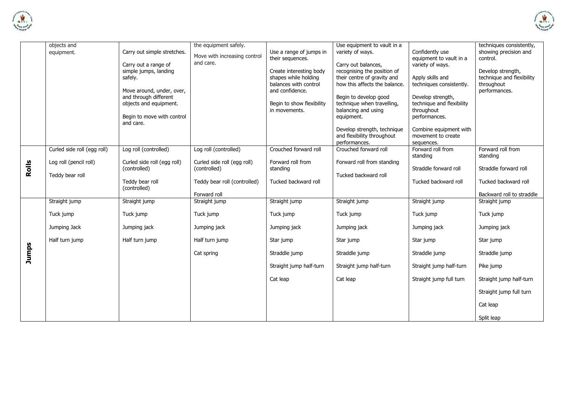



|       | objects and                 |                                         | the equipment safely.         |                                          | Use equipment to vault in a            |                                             | techniques consistently,                   |
|-------|-----------------------------|-----------------------------------------|-------------------------------|------------------------------------------|----------------------------------------|---------------------------------------------|--------------------------------------------|
|       | equipment.                  | Carry out simple stretches.             | Move with increasing control  | Use a range of jumps in                  | variety of ways.                       | Confidently use                             | showing precision and                      |
|       |                             | Carry out a range of                    | and care.                     | their sequences.                         | Carry out balances,                    | equipment to vault in a<br>variety of ways. | control.                                   |
|       |                             | simple jumps, landing                   |                               | Create interesting body                  | recognising the position of            |                                             | Develop strength,                          |
|       |                             | safely.                                 |                               | shapes while holding                     | their centre of gravity and            | Apply skills and                            | technique and flexibility                  |
|       |                             | Move around, under, over,               |                               | balances with control<br>and confidence. | how this affects the balance.          | techniques consistently.                    | throughout<br>performances.                |
|       |                             | and through different                   |                               |                                          | Begin to develop good                  | Develop strength,                           |                                            |
|       |                             | objects and equipment.                  |                               | Begin to show flexibility                | technique when travelling,             | technique and flexibility                   |                                            |
|       |                             |                                         |                               | in movements.                            | balancing and using                    | throughout                                  |                                            |
|       |                             | Begin to move with control<br>and care. |                               |                                          | equipment.                             | performances.                               |                                            |
|       |                             |                                         |                               |                                          | Develop strength, technique            | Combine equipment with                      |                                            |
|       |                             |                                         |                               |                                          | and flexibility throughout             | movement to create                          |                                            |
|       | Curled side roll (egg roll) | Log roll (controlled)                   | Log roll (controlled)         | Crouched forward roll                    | performances.<br>Crouched forward roll | sequences.<br>Forward roll from             | Forward roll from                          |
|       |                             |                                         |                               |                                          |                                        | standing                                    | standing                                   |
|       | Log roll (pencil roll)      | Curled side roll (egg roll)             | Curled side roll (egg roll)   | Forward roll from                        | Forward roll from standing             |                                             |                                            |
| Rolls | Teddy bear roll             | (controlled)                            | (controlled)                  | standing                                 | Tucked backward roll                   | Straddle forward roll                       | Straddle forward roll                      |
|       |                             | Teddy bear roll                         | Teddy bear roll (controlled)  | Tucked backward roll                     |                                        | Tucked backward roll                        | Tucked backward roll                       |
|       |                             | (controlled)                            |                               |                                          |                                        |                                             |                                            |
|       | Straight jump               | Straight jump                           | Forward roll<br>Straight jump | Straight jump                            | Straight jump                          | Straight jump                               | Backward roll to straddle<br>Straight jump |
|       |                             |                                         |                               |                                          |                                        |                                             |                                            |
|       | Tuck jump                   | Tuck jump                               | Tuck jump                     | Tuck jump                                | Tuck jump                              | Tuck jump                                   | Tuck jump                                  |
|       | Jumping Jack                | Jumping jack                            | Jumping jack                  | Jumping jack                             | Jumping jack                           | Jumping jack                                | Jumping jack                               |
|       | Half turn jump              | Half turn jump                          | Half turn jump                | Star jump                                | Star jump                              | Star jump                                   | Star jump                                  |
| Jumps |                             |                                         | Cat spring                    | Straddle jump                            | Straddle jump                          | Straddle jump                               | Straddle jump                              |
|       |                             |                                         |                               | Straight jump half-turn                  | Straight jump half-turn                | Straight jump half-turn                     | Pike jump                                  |
|       |                             |                                         |                               | Cat leap                                 | Cat leap                               | Straight jump full turn                     | Straight jump half-turn                    |
|       |                             |                                         |                               |                                          |                                        |                                             | Straight jump full turn                    |
|       |                             |                                         |                               |                                          |                                        |                                             | Cat leap                                   |
|       |                             |                                         |                               |                                          |                                        |                                             | Split leap                                 |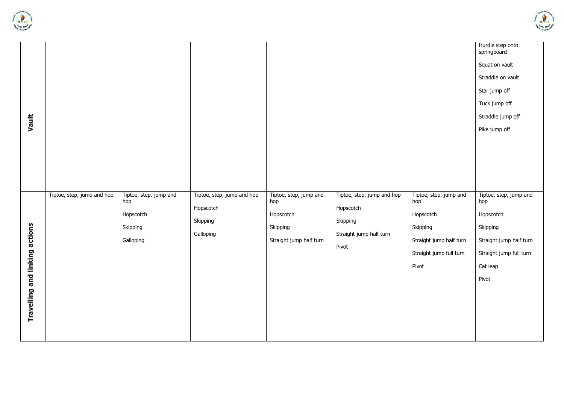



| Vault                          | Tiptoe, step, jump and hop | Tiptoe, step, jump and<br>hop      | Tiptoe, step, jump and hop         | Tiptoe, step, jump and<br>hop                    | Tiptoe, step, jump and hop                                | Tiptoe, step, jump and<br>hop                                                        | springboard<br>Squat on vault<br>Straddle on vault<br>Star jump off<br>Tuck jump off<br>Straddle jump off<br>Pike jump off<br>Tiptoe, step, jump and<br>hop |
|--------------------------------|----------------------------|------------------------------------|------------------------------------|--------------------------------------------------|-----------------------------------------------------------|--------------------------------------------------------------------------------------|-------------------------------------------------------------------------------------------------------------------------------------------------------------|
| Travelling and linking actions |                            | Hopscotch<br>Skipping<br>Galloping | Hopscotch<br>Skipping<br>Galloping | Hopscotch<br>Skipping<br>Straight jump half turn | Hopscotch<br>Skipping<br>Straight jump half turn<br>Pivot | Hopscotch<br>Skipping<br>Straight jump half turn<br>Straight jump full turn<br>Pivot | Hopscotch<br>Skipping<br>Straight jump half turn<br>Straight jump full turn<br>Cat leap<br>Pivot                                                            |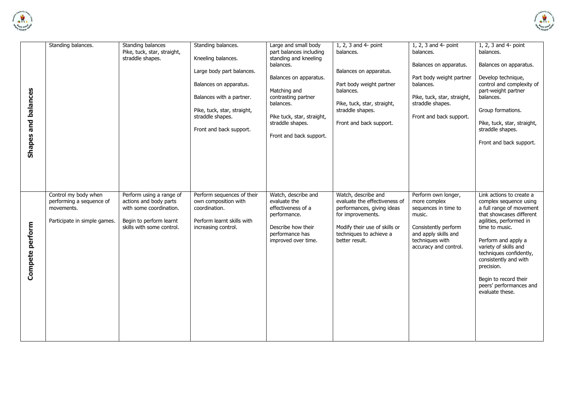



| Shapes and balances | Standing balances.                                                                             | Standing balances<br>Pike, tuck, star, straight,<br>straddle shapes.                                                                  | Standing balances.<br>Kneeling balances.<br>Large body part balances.<br>Balances on apparatus.<br>Balances with a partner.<br>Pike, tuck, star, straight,<br>straddle shapes.<br>Front and back support. | Large and small body<br>part balances including<br>standing and kneeling<br>balances.<br>Balances on apparatus.<br>Matching and<br>contrasting partner<br>balances.<br>Pike tuck, star, straight,<br>straddle shapes.<br>Front and back support. | 1, 2, 3 and 4- point<br>balances.<br>Balances on apparatus.<br>Part body weight partner<br>balances.<br>Pike, tuck, star, straight,<br>straddle shapes.<br>Front and back support.    | 1, 2, 3 and 4- point<br>balances.<br>Balances on apparatus.<br>Part body weight partner<br>balances.<br>Pike, tuck, star, straight,<br>straddle shapes.<br>Front and back support. | 1, 2, 3 and 4- point<br>balances.<br>Balances on apparatus.<br>Develop technique,<br>control and complexity of<br>part-weight partner<br>balances.<br>Group formations.<br>Pike, tuck, star, straight,<br>straddle shapes.<br>Front and back support.                                                                                            |
|---------------------|------------------------------------------------------------------------------------------------|---------------------------------------------------------------------------------------------------------------------------------------|-----------------------------------------------------------------------------------------------------------------------------------------------------------------------------------------------------------|--------------------------------------------------------------------------------------------------------------------------------------------------------------------------------------------------------------------------------------------------|---------------------------------------------------------------------------------------------------------------------------------------------------------------------------------------|------------------------------------------------------------------------------------------------------------------------------------------------------------------------------------|--------------------------------------------------------------------------------------------------------------------------------------------------------------------------------------------------------------------------------------------------------------------------------------------------------------------------------------------------|
| Compete perform     | Control my body when<br>performing a sequence of<br>movements.<br>Participate in simple games. | Perform using a range of<br>actions and body parts<br>with some coordination.<br>Begin to perform learnt<br>skills with some control. | Perform sequences of their<br>own composition with<br>coordination.<br>Perform learnt skills with<br>increasing control.                                                                                  | Watch, describe and<br>evaluate the<br>effectiveness of a<br>performance.<br>Describe how their<br>performance has<br>improved over time.                                                                                                        | Watch, describe and<br>evaluate the effectiveness of<br>performances, giving ideas<br>for improvements.<br>Modify their use of skills or<br>techniques to achieve a<br>better result. | Perform own longer,<br>more complex<br>sequences in time to<br>music.<br>Consistently perform<br>and apply skills and<br>techniques with<br>accuracy and control.                  | Link actions to create a<br>complex sequence using<br>a full range of movement<br>that showcases different<br>agilities, performed in<br>time to music.<br>Perform and apply a<br>variety of skills and<br>techniques confidently,<br>consistently and with<br>precision.<br>Begin to record their<br>peers' performances and<br>evaluate these. |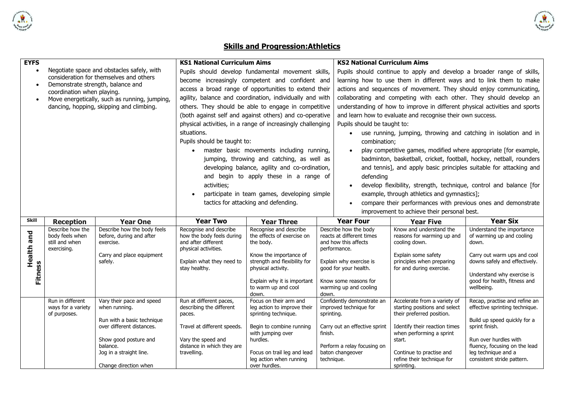

## **Skills and Progression:Athletics**

**ARCHITECT** 

| <b>EYFS</b>  |                                   |                                                                                           | <b>KS1 National Curriculum Aims</b>                                                                                                                                                                  |                                                                                                                        |            | <b>KS2 National Curriculum Aims</b>                                         |                                                                        |                                                                     |  |  |
|--------------|-----------------------------------|-------------------------------------------------------------------------------------------|------------------------------------------------------------------------------------------------------------------------------------------------------------------------------------------------------|------------------------------------------------------------------------------------------------------------------------|------------|-----------------------------------------------------------------------------|------------------------------------------------------------------------|---------------------------------------------------------------------|--|--|
| $\bullet$    |                                   | Negotiate space and obstacles safely, with                                                |                                                                                                                                                                                                      | Pupils should develop fundamental movement skills,                                                                     |            |                                                                             | Pupils should continue to apply and develop a broader range of skills, |                                                                     |  |  |
|              |                                   | consideration for themselves and others                                                   |                                                                                                                                                                                                      | become increasingly competent and confident and                                                                        |            |                                                                             |                                                                        | learning how to use them in different ways and to link them to make |  |  |
| $\bullet$    | Demonstrate strength, balance and |                                                                                           |                                                                                                                                                                                                      | access a broad range of opportunities to extend their                                                                  |            | actions and sequences of movement. They should enjoy communicating,         |                                                                        |                                                                     |  |  |
|              | coordination when playing.        |                                                                                           |                                                                                                                                                                                                      | agility, balance and coordination, individually and with                                                               |            |                                                                             | collaborating and competing with each other. They should develop an    |                                                                     |  |  |
| $\bullet$    |                                   | Move energetically, such as running, jumping,<br>dancing, hopping, skipping and climbing. |                                                                                                                                                                                                      | others. They should be able to engage in competitive                                                                   |            | understanding of how to improve in different physical activities and sports |                                                                        |                                                                     |  |  |
|              |                                   |                                                                                           |                                                                                                                                                                                                      |                                                                                                                        |            |                                                                             |                                                                        |                                                                     |  |  |
|              |                                   |                                                                                           |                                                                                                                                                                                                      | (both against self and against others) and co-operative<br>physical activities, in a range of increasingly challenging |            |                                                                             | and learn how to evaluate and recognise their own success.             |                                                                     |  |  |
|              |                                   |                                                                                           |                                                                                                                                                                                                      |                                                                                                                        |            | Pupils should be taught to:                                                 |                                                                        |                                                                     |  |  |
|              |                                   |                                                                                           | situations.                                                                                                                                                                                          |                                                                                                                        |            |                                                                             |                                                                        | use running, jumping, throwing and catching in isolation and in     |  |  |
|              |                                   |                                                                                           | Pupils should be taught to:                                                                                                                                                                          |                                                                                                                        |            | combination;                                                                |                                                                        |                                                                     |  |  |
|              |                                   |                                                                                           |                                                                                                                                                                                                      | master basic movements including running,                                                                              |            |                                                                             | play competitive games, modified where appropriate [for example,       |                                                                     |  |  |
|              |                                   |                                                                                           |                                                                                                                                                                                                      | jumping, throwing and catching, as well as                                                                             |            |                                                                             |                                                                        | badminton, basketball, cricket, football, hockey, netball, rounders |  |  |
|              |                                   |                                                                                           |                                                                                                                                                                                                      | developing balance, agility and co-ordination,                                                                         |            |                                                                             |                                                                        | and tennis], and apply basic principles suitable for attacking and  |  |  |
|              |                                   |                                                                                           |                                                                                                                                                                                                      | and begin to apply these in a range of                                                                                 |            | defending                                                                   |                                                                        |                                                                     |  |  |
|              |                                   |                                                                                           | activities;                                                                                                                                                                                          |                                                                                                                        |            |                                                                             |                                                                        | develop flexibility, strength, technique, control and balance [for  |  |  |
|              |                                   |                                                                                           |                                                                                                                                                                                                      |                                                                                                                        |            |                                                                             |                                                                        |                                                                     |  |  |
|              |                                   |                                                                                           | example, through athletics and gymnastics];<br>participate in team games, developing simple<br>tactics for attacking and defending.<br>compare their performances with previous ones and demonstrate |                                                                                                                        |            |                                                                             |                                                                        |                                                                     |  |  |
|              |                                   |                                                                                           |                                                                                                                                                                                                      |                                                                                                                        |            |                                                                             | improvement to achieve their personal best.                            |                                                                     |  |  |
|              |                                   |                                                                                           |                                                                                                                                                                                                      |                                                                                                                        |            |                                                                             |                                                                        |                                                                     |  |  |
|              |                                   |                                                                                           |                                                                                                                                                                                                      |                                                                                                                        |            |                                                                             |                                                                        |                                                                     |  |  |
| <b>Skill</b> | <b>Reception</b>                  | <b>Year One</b>                                                                           | <b>Year Two</b>                                                                                                                                                                                      | <b>Year Three</b>                                                                                                      |            | <b>Year Four</b>                                                            | <b>Year Five</b>                                                       | <b>Year Six</b>                                                     |  |  |
|              | Describe how the                  | Describe how the body feels                                                               | Recognise and describe                                                                                                                                                                               | Recognise and describe                                                                                                 |            | Describe how the body                                                       | Know and understand the                                                | Understand the importance                                           |  |  |
|              | body feels when                   | before, during and after                                                                  | how the body feels during                                                                                                                                                                            | the effects of exercise on                                                                                             |            | reacts at different times                                                   | reasons for warming up and                                             | of warming up and cooling                                           |  |  |
|              | still and when<br>exercising.     | exercise.                                                                                 | and after different                                                                                                                                                                                  | the body.                                                                                                              |            | and how this affects<br>performance.                                        | cooling down.                                                          | down.                                                               |  |  |
|              |                                   | Carry and place equipment                                                                 | physical activities.                                                                                                                                                                                 | Know the importance of                                                                                                 |            |                                                                             | Explain some safety                                                    | Carry out warm ups and cool                                         |  |  |
|              |                                   | safely.                                                                                   | Explain what they need to                                                                                                                                                                            | strength and flexibility for                                                                                           |            | Explain why exercise is                                                     | principles when preparing                                              | downs safely and effectively.                                       |  |  |
| Health and   |                                   |                                                                                           | stay healthy.                                                                                                                                                                                        | physical activity.                                                                                                     |            | good for your health.                                                       | for and during exercise.                                               |                                                                     |  |  |
|              |                                   |                                                                                           |                                                                                                                                                                                                      | Explain why it is important                                                                                            |            | Know some reasons for                                                       |                                                                        | Understand why exercise is<br>good for health, fitness and          |  |  |
| Fitness      |                                   |                                                                                           |                                                                                                                                                                                                      | to warm up and cool                                                                                                    |            | warming up and cooling                                                      |                                                                        | wellbeing.                                                          |  |  |
|              |                                   |                                                                                           |                                                                                                                                                                                                      | down.                                                                                                                  | down.      |                                                                             |                                                                        |                                                                     |  |  |
|              | Run in different                  | Vary their pace and speed                                                                 | Run at different paces,                                                                                                                                                                              | Focus on their arm and                                                                                                 |            | Confidently demonstrate an                                                  | Accelerate from a variety of                                           | Recap, practise and refine an                                       |  |  |
|              | ways for a variety                | when running.                                                                             | describing the different                                                                                                                                                                             | leg action to improve their                                                                                            |            | improved technique for                                                      | starting positions and select                                          | effective sprinting technique.                                      |  |  |
|              | of purposes.                      | Run with a basic technique                                                                | paces.                                                                                                                                                                                               | sprinting technique.                                                                                                   | sprinting. |                                                                             | their preferred position.                                              | Build up speed quickly for a                                        |  |  |
|              |                                   | over different distances.                                                                 | Travel at different speeds.                                                                                                                                                                          | Begin to combine running                                                                                               |            | Carry out an effective sprint                                               | Identify their reaction times                                          | sprint finish.                                                      |  |  |
|              |                                   |                                                                                           |                                                                                                                                                                                                      | with jumping over                                                                                                      | finish.    |                                                                             | when performing a sprint                                               |                                                                     |  |  |
|              |                                   | Show good posture and                                                                     | Vary the speed and                                                                                                                                                                                   | hurdles.                                                                                                               |            |                                                                             | start.                                                                 | Run over hurdles with                                               |  |  |
|              |                                   | balance.<br>Jog in a straight line.                                                       | distance in which they are<br>travelling.                                                                                                                                                            | Focus on trail leg and lead                                                                                            |            | Perform a relay focusing on<br>baton changeover                             | Continue to practise and                                               | fluency, focusing on the lead<br>leg technique and a                |  |  |
|              |                                   |                                                                                           |                                                                                                                                                                                                      | leg action when running                                                                                                | technique. |                                                                             | refine their technique for                                             | consistent stride pattern.                                          |  |  |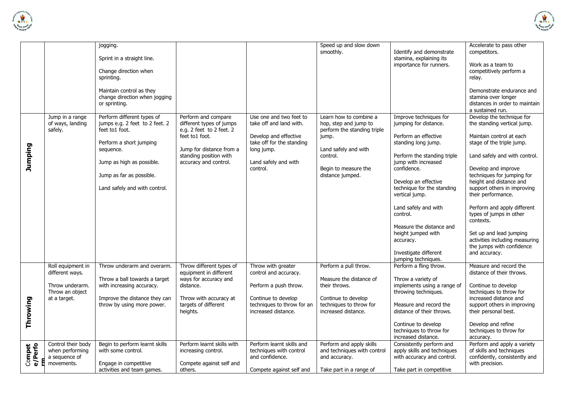



|                   |                                                        | jogging.<br>Sprint in a straight line.                                         |                                                                             |                                                                          | Speed up and slow down<br>smoothly.                                            | Identify and demonstrate<br>stamina, explaining its                                   | Accelerate to pass other<br>competitors.                                                                   |
|-------------------|--------------------------------------------------------|--------------------------------------------------------------------------------|-----------------------------------------------------------------------------|--------------------------------------------------------------------------|--------------------------------------------------------------------------------|---------------------------------------------------------------------------------------|------------------------------------------------------------------------------------------------------------|
|                   |                                                        | Change direction when<br>sprinting.                                            |                                                                             |                                                                          |                                                                                | importance for runners.                                                               | Work as a team to<br>competitively perform a<br>relay.                                                     |
|                   |                                                        | Maintain control as they<br>change direction when jogging<br>or sprinting.     |                                                                             |                                                                          |                                                                                |                                                                                       | Demonstrate endurance and<br>stamina over longer<br>distances in order to maintain<br>a sustained run.     |
|                   | Jump in a range<br>of ways, landing<br>safely.         | Perform different types of<br>jumps e.g. 2 feet to 2 feet. 2<br>feet to1 foot. | Perform and compare<br>different types of jumps<br>e.g. 2 feet to 2 feet. 2 | Use one and two feet to<br>take off and land with.                       | Learn how to combine a<br>hop, step and jump to<br>perform the standing triple | Improve techniques for<br>jumping for distance.                                       | Develop the technique for<br>the standing vertical jump.                                                   |
|                   |                                                        | Perform a short jumping<br>sequence.                                           | feet to1 foot.<br>Jump for distance from a                                  | Develop and effective<br>take off for the standing<br>long jump.         | jump.<br>Land safely and with                                                  | Perform an effective<br>standing long jump.                                           | Maintain control at each<br>stage of the triple jump.                                                      |
| Jumping           |                                                        | Jump as high as possible.                                                      | standing position with<br>accuracy and control.                             | Land safely and with<br>control.                                         | control.<br>Begin to measure the                                               | Perform the standing triple<br>jump with increased<br>confidence.                     | Land safely and with control.<br>Develop and improve                                                       |
|                   |                                                        | Jump as far as possible.<br>Land safely and with control.                      |                                                                             |                                                                          | distance jumped.                                                               | Develop an effective<br>technique for the standing<br>vertical jump.                  | techniques for jumping for<br>height and distance and<br>support others in improving<br>their performance. |
|                   |                                                        |                                                                                |                                                                             |                                                                          |                                                                                | Land safely and with<br>control.                                                      | Perform and apply different<br>types of jumps in other<br>contexts.                                        |
|                   |                                                        |                                                                                |                                                                             |                                                                          |                                                                                | Measure the distance and<br>height jumped with<br>accuracy.                           | Set up and lead jumping<br>activities including measuring<br>the jumps with confidence                     |
|                   |                                                        |                                                                                |                                                                             |                                                                          |                                                                                | Investigate different<br>jumping techniques.                                          | and accuracy.                                                                                              |
|                   | Roll equipment in<br>different ways.                   | Throw underarm and overarm.                                                    | Throw different types of<br>equipment in different                          | Throw with greater<br>control and accuracy.                              | Perform a pull throw.                                                          | Perform a fling throw.                                                                | Measure and record the<br>distance of their throws.                                                        |
|                   | Throw underarm.<br>Throw an object                     | Throw a ball towards a target<br>with increasing accuracy.                     | ways for accuracy and<br>distance.                                          | Perform a push throw.                                                    | Measure the distance of<br>their throws.                                       | Throw a variety of<br>implements using a range of<br>throwing techniques.             | Continue to develop<br>techniques to throw for                                                             |
| Throwing          | at a target.                                           | Improve the distance they can<br>throw by using more power.                    | Throw with accuracy at<br>targets of different<br>heights.                  | Continue to develop<br>techniques to throw for an<br>increased distance. | Continue to develop<br>techniques to throw for<br>increased distance.          | Measure and record the<br>distance of their throws.                                   | increased distance and<br>support others in improving<br>their personal best.                              |
|                   |                                                        |                                                                                |                                                                             |                                                                          |                                                                                | Continue to develop<br>techniques to throw for<br>increased distance.                 | Develop and refine<br>techniques to throw for<br>accuracy.                                                 |
| Compet<br>e/Perfo | Control their body<br>when performing<br>a sequence of | Begin to perform learnt skills<br>with some control.                           | Perform learnt skills with<br>increasing control.                           | Perform learnt skills and<br>techniques with control<br>and confidence.  | Perform and apply skills<br>and techniques with control<br>and accuracy.       | Consistently perform and<br>apply skills and techniques<br>with accuracy and control. | Perform and apply a variety<br>of skills and techniques<br>confidently, consistently and                   |
|                   | movements.                                             | Engage in competitive<br>activities and team games.                            | Compete against self and<br>others.                                         | Compete against self and                                                 | Take part in a range of                                                        | Take part in competitive                                                              | with precision.                                                                                            |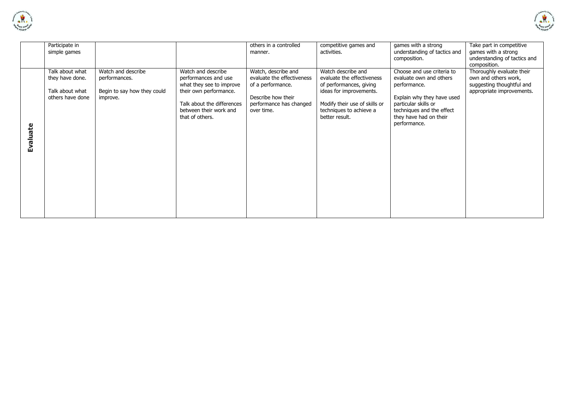



|          | Participate in<br>simple games                                            |                                                                                |                                                                                                                                                                             | others in a controlled<br>manner.                                                                                                     | competitive games and<br>activities.                                                                                                                                                 | games with a strong<br>understanding of tactics and<br>composition.                                                                                                                                | Take part in competitive<br>games with a strong<br>understanding of tactics and<br>composition.             |
|----------|---------------------------------------------------------------------------|--------------------------------------------------------------------------------|-----------------------------------------------------------------------------------------------------------------------------------------------------------------------------|---------------------------------------------------------------------------------------------------------------------------------------|--------------------------------------------------------------------------------------------------------------------------------------------------------------------------------------|----------------------------------------------------------------------------------------------------------------------------------------------------------------------------------------------------|-------------------------------------------------------------------------------------------------------------|
| Evaluate | Talk about what<br>they have done.<br>Talk about what<br>others have done | Watch and describe<br>performances.<br>Begin to say how they could<br>improve. | Watch and describe<br>performances and use<br>what they see to improve<br>their own performance.<br>Talk about the differences<br>between their work and<br>that of others. | Watch, describe and<br>evaluate the effectiveness<br>of a performance.<br>Describe how their<br>performance has changed<br>over time. | Watch describe and<br>evaluate the effectiveness<br>of performances, giving<br>ideas for improvements.<br>Modify their use of skills or<br>techniques to achieve a<br>better result. | Choose and use criteria to<br>evaluate own and others<br>performance.<br>Explain why they have used<br>particular skills or<br>techniques and the effect<br>they have had on their<br>performance. | Thoroughly evaluate their<br>own and others work,<br>suggesting thoughtful and<br>appropriate improvements. |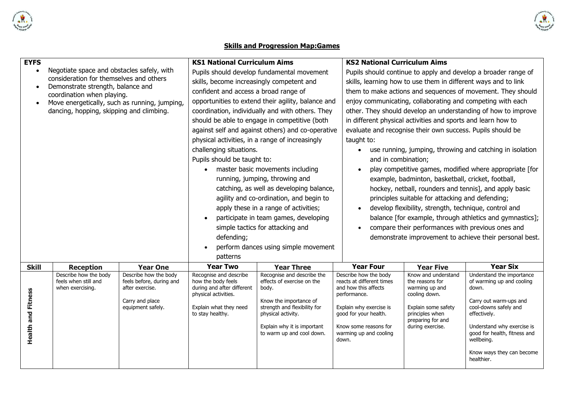

## **Skills and Progression Map:Games**

**ALL Schools Cardinal** 

| <b>EYFS</b>               |                                                                 |                                                   | <b>KS1 National Curriculum Aims</b>                |                                                          | <b>KS2 National Curriculum Aims</b>                |                                                                |                                                                |  |
|---------------------------|-----------------------------------------------------------------|---------------------------------------------------|----------------------------------------------------|----------------------------------------------------------|----------------------------------------------------|----------------------------------------------------------------|----------------------------------------------------------------|--|
| $\bullet$                 | Negotiate space and obstacles safely, with                      |                                                   |                                                    | Pupils should develop fundamental movement               |                                                    |                                                                | Pupils should continue to apply and develop a broader range of |  |
|                           | consideration for themselves and others                         |                                                   | skills, become increasingly competent and          |                                                          |                                                    | skills, learning how to use them in different ways and to link |                                                                |  |
| $\bullet$                 | Demonstrate strength, balance and<br>coordination when playing. |                                                   | confident and access a broad range of              |                                                          |                                                    | them to make actions and sequences of movement. They should    |                                                                |  |
| $\bullet$                 | Move energetically, such as running, jumping,                   |                                                   | opportunities to extend their agility, balance and |                                                          |                                                    |                                                                | enjoy communicating, collaborating and competing with each     |  |
|                           | dancing, hopping, skipping and climbing.                        |                                                   |                                                    | coordination, individually and with others. They         |                                                    |                                                                | other. They should develop an understanding of how to improve  |  |
|                           |                                                                 |                                                   |                                                    | should be able to engage in competitive (both            |                                                    | in different physical activities and sports and learn how to   |                                                                |  |
|                           |                                                                 |                                                   |                                                    | against self and against others) and co-operative        |                                                    | evaluate and recognise their own success. Pupils should be     |                                                                |  |
|                           |                                                                 |                                                   |                                                    | physical activities, in a range of increasingly          | taught to:                                         |                                                                |                                                                |  |
|                           |                                                                 |                                                   | challenging situations.                            |                                                          |                                                    |                                                                | use running, jumping, throwing and catching in isolation       |  |
|                           |                                                                 |                                                   | Pupils should be taught to:                        |                                                          | and in combination;                                |                                                                |                                                                |  |
|                           |                                                                 |                                                   | $\bullet$                                          | master basic movements including                         | $\bullet$                                          |                                                                | play competitive games, modified where appropriate [for        |  |
|                           |                                                                 |                                                   |                                                    | running, jumping, throwing and                           |                                                    | example, badminton, basketball, cricket, football,             |                                                                |  |
|                           |                                                                 |                                                   |                                                    | catching, as well as developing balance,                 |                                                    |                                                                | hockey, netball, rounders and tennis], and apply basic         |  |
|                           |                                                                 |                                                   |                                                    | agility and co-ordination, and begin to                  |                                                    | principles suitable for attacking and defending;               |                                                                |  |
|                           |                                                                 |                                                   | apply these in a range of activities;              |                                                          | $\bullet$                                          | develop flexibility, strength, technique, control and          |                                                                |  |
|                           |                                                                 |                                                   | $\bullet$                                          | participate in team games, developing                    |                                                    |                                                                | balance [for example, through athletics and gymnastics];       |  |
|                           |                                                                 |                                                   | simple tactics for attacking and                   |                                                          | $\bullet$                                          | compare their performances with previous ones and              |                                                                |  |
|                           |                                                                 |                                                   | defending;                                         |                                                          |                                                    |                                                                | demonstrate improvement to achieve their personal best.        |  |
|                           |                                                                 |                                                   | $\bullet$                                          | perform dances using simple movement                     |                                                    |                                                                |                                                                |  |
|                           |                                                                 |                                                   | patterns                                           |                                                          |                                                    |                                                                |                                                                |  |
| <b>Skill</b>              | <b>Reception</b>                                                | <b>Year One</b>                                   | <b>Year Two</b>                                    | <b>Year Three</b>                                        | <b>Year Four</b>                                   | <b>Year Five</b>                                               | <b>Year Six</b>                                                |  |
|                           | Describe how the body<br>feels when still and                   | Describe how the body<br>feels before, during and | Recognise and describe<br>how the body feels       | Recognise and describe the<br>effects of exercise on the | Describe how the body<br>reacts at different times | Know and understand<br>the reasons for                         | Understand the importance<br>of warming up and cooling         |  |
|                           | when exercising.                                                | after exercise.                                   | during and after different                         | body.                                                    | and how this affects                               | warming up and                                                 | down.                                                          |  |
|                           |                                                                 |                                                   | physical activities.                               | Know the importance of                                   | performance.                                       | cooling down.                                                  | Carry out warm-ups and                                         |  |
|                           | Carry and place<br>equipment safely.                            |                                                   | Explain what they need                             | strength and flexibility for                             | Explain why exercise is                            | Explain some safety                                            | cool-downs safely and                                          |  |
|                           |                                                                 |                                                   | to stay healthy.                                   | physical activity.                                       | good for your health.                              | principles when<br>preparing for and                           | effectively.                                                   |  |
|                           |                                                                 |                                                   |                                                    | Explain why it is important                              | Know some reasons for                              | during exercise.                                               | Understand why exercise is                                     |  |
| <b>Health and Fitness</b> |                                                                 |                                                   |                                                    | to warm up and cool down.                                | warming up and cooling                             |                                                                | good for health, fitness and<br>wellbeing.                     |  |
|                           |                                                                 |                                                   |                                                    |                                                          | down.                                              |                                                                |                                                                |  |
|                           |                                                                 |                                                   |                                                    |                                                          |                                                    |                                                                | Know ways they can become<br>healthier.                        |  |
|                           |                                                                 |                                                   |                                                    |                                                          |                                                    |                                                                |                                                                |  |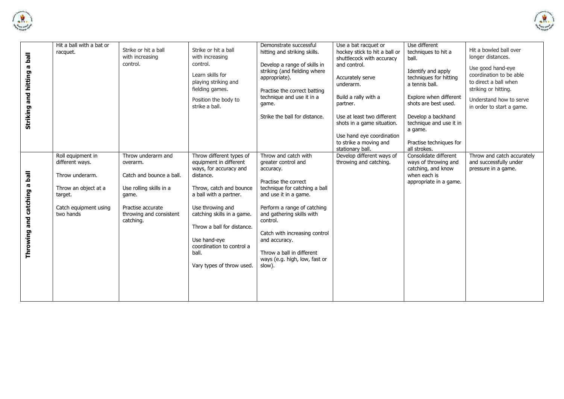



| Striking and hitting a ball  | Hit a ball with a bat or<br>racquet.                                                                                             | Strike or hit a ball<br>with increasing<br>control.                                                                                                         | Strike or hit a ball<br>with increasing<br>control.<br>Learn skills for<br>playing striking and<br>fielding games.<br>Position the body to<br>strike a ball.                                                                                                                                                      | Demonstrate successful<br>hitting and striking skills.<br>Develop a range of skills in<br>striking (and fielding where<br>appropriate).<br>Practise the correct batting<br>technique and use it in a<br>game.<br>Strike the ball for distance.                                                                                               | Use a bat racquet or<br>hockey stick to hit a ball or<br>shuttlecock with accuracy<br>and control.<br>Accurately serve<br>underarm.<br>Build a rally with a<br>partner.<br>Use at least two different<br>shots in a game situation.<br>Use hand eye coordination<br>to strike a moving and<br>stationary ball. | Use different<br>techniques to hit a<br>ball.<br>Identify and apply<br>techniques for hitting<br>a tennis ball.<br>Explore when different<br>shots are best used.<br>Develop a backhand<br>technique and use it in<br>a game.<br>Practise techniques for<br>all strokes. | Hit a bowled ball over<br>longer distances.<br>Use good hand-eye<br>coordination to be able<br>to direct a ball when<br>striking or hitting.<br>Understand how to serve<br>in order to start a game. |
|------------------------------|----------------------------------------------------------------------------------------------------------------------------------|-------------------------------------------------------------------------------------------------------------------------------------------------------------|-------------------------------------------------------------------------------------------------------------------------------------------------------------------------------------------------------------------------------------------------------------------------------------------------------------------|----------------------------------------------------------------------------------------------------------------------------------------------------------------------------------------------------------------------------------------------------------------------------------------------------------------------------------------------|----------------------------------------------------------------------------------------------------------------------------------------------------------------------------------------------------------------------------------------------------------------------------------------------------------------|--------------------------------------------------------------------------------------------------------------------------------------------------------------------------------------------------------------------------------------------------------------------------|------------------------------------------------------------------------------------------------------------------------------------------------------------------------------------------------------|
| Throwing and catching a ball | Roll equipment in<br>different ways.<br>Throw underarm.<br>Throw an object at a<br>target.<br>Catch equipment using<br>two hands | Throw underarm and<br>overarm.<br>Catch and bounce a ball.<br>Use rolling skills in a<br>game.<br>Practise accurate<br>throwing and consistent<br>catching. | Throw different types of<br>equipment in different<br>ways, for accuracy and<br>distance.<br>Throw, catch and bounce<br>a ball with a partner.<br>Use throwing and<br>catching skills in a game.<br>Throw a ball for distance.<br>Use hand-eye<br>coordination to control a<br>ball.<br>Vary types of throw used. | Throw and catch with<br>greater control and<br>accuracy.<br>Practise the correct<br>technique for catching a ball<br>and use it in a game.<br>Perform a range of catching<br>and gathering skills with<br>control.<br>Catch with increasing control<br>and accuracy.<br>Throw a ball in different<br>ways (e.g. high, low, fast or<br>slow). | Develop different ways of<br>throwing and catching.                                                                                                                                                                                                                                                            | Consolidate different<br>ways of throwing and<br>catching, and know<br>when each is<br>appropriate in a game.                                                                                                                                                            | Throw and catch accurately<br>and successfully under<br>pressure in a game.                                                                                                                          |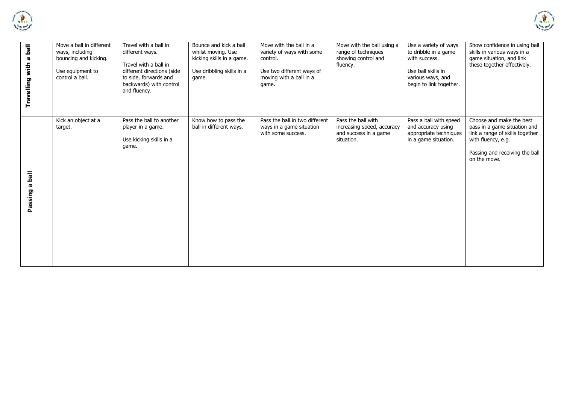



| Travelling with a ball       | Move a ball in different<br>ways, including<br>bouncing and kicking.<br>Use equipment to<br>control a ball. | Travel with a ball in<br>different ways.<br>Travel with a ball in<br>different directions (side<br>to side, forwards and<br>backwards) with control<br>and fluency. | Bounce and kick a ball<br>whilst moving. Use<br>kicking skills in a game.<br>Use dribbling skills in a<br>game. | Move with the ball in a<br>variety of ways with some<br>control.<br>Use two different ways of<br>moving with a ball in a<br>game. | Move with the ball using a<br>range of techniques<br>showing control and<br>fluency.    | Use a variety of ways<br>to dribble in a game<br>with success.<br>Use ball skills in<br>various ways, and<br>begin to link together. | Show confidence in using ball<br>skills in various ways in a<br>game situation, and link<br>these together effectively.                                             |
|------------------------------|-------------------------------------------------------------------------------------------------------------|---------------------------------------------------------------------------------------------------------------------------------------------------------------------|-----------------------------------------------------------------------------------------------------------------|-----------------------------------------------------------------------------------------------------------------------------------|-----------------------------------------------------------------------------------------|--------------------------------------------------------------------------------------------------------------------------------------|---------------------------------------------------------------------------------------------------------------------------------------------------------------------|
| lled<br><b>IQ</b><br>Passing | Kick an object at a<br>target.                                                                              | Pass the ball to another<br>player in a game.<br>Use kicking skills in a<br>game.                                                                                   | Know how to pass the<br>ball in different ways.                                                                 | Pass the ball in two different<br>ways in a game situation<br>with some success.                                                  | Pass the ball with<br>increasing speed, accuracy<br>and success in a game<br>situation. | Pass a ball with speed<br>and accuracy using<br>appropriate techniques<br>in a game situation.                                       | Choose and make the best<br>pass in a game situation and<br>link a range of skills together<br>with fluency, e.g.<br>Passing and receiving the ball<br>on the move. |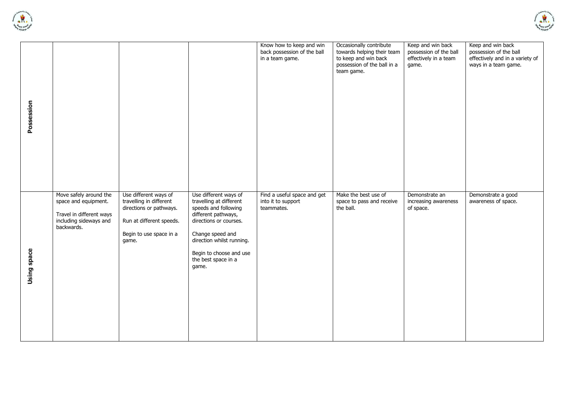



| Possession  |                                                                                                                    |                                                                                                                                             |                                                                                                                                                                                                                                       | Know how to keep and win<br>back possession of the ball<br>in a team game. | Occasionally contribute<br>towards helping their team<br>to keep and win back<br>possession of the ball in a<br>team game. | Keep and win back<br>possession of the ball<br>effectively in a team<br>game. | Keep and win back<br>possession of the ball<br>effectively and in a variety of<br>ways in a team game. |
|-------------|--------------------------------------------------------------------------------------------------------------------|---------------------------------------------------------------------------------------------------------------------------------------------|---------------------------------------------------------------------------------------------------------------------------------------------------------------------------------------------------------------------------------------|----------------------------------------------------------------------------|----------------------------------------------------------------------------------------------------------------------------|-------------------------------------------------------------------------------|--------------------------------------------------------------------------------------------------------|
| Using space | Move safely around the<br>space and equipment.<br>Travel in different ways<br>including sideways and<br>backwards. | Use different ways of<br>travelling in different<br>directions or pathways.<br>Run at different speeds.<br>Begin to use space in a<br>game. | Use different ways of<br>travelling at different<br>speeds and following<br>different pathways,<br>directions or courses.<br>Change speed and<br>direction whilst running.<br>Begin to choose and use<br>the best space in a<br>game. | Find a useful space and get<br>into it to support<br>teammates.            | Make the best use of<br>space to pass and receive<br>the ball.                                                             | Demonstrate an<br>increasing awareness<br>of space.                           | Demonstrate a good<br>awareness of space.                                                              |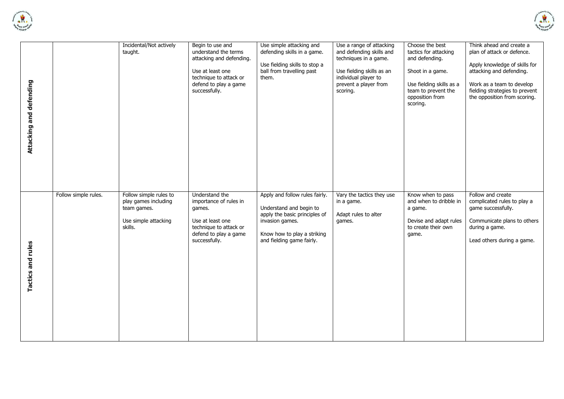



| Attacking and defending |                      | Incidental/Not actively<br>taught.                                                               | Begin to use and<br>understand the terms<br>attacking and defending.<br>Use at least one<br>technique to attack or<br>defend to play a game<br>successfully. | Use simple attacking and<br>defending skills in a game.<br>Use fielding skills to stop a<br>ball from travelling past<br>them.                                            | Use a range of attacking<br>and defending skills and<br>techniques in a game.<br>Use fielding skills as an<br>individual player to<br>prevent a player from<br>scoring. | Choose the best<br>tactics for attacking<br>and defending.<br>Shoot in a game.<br>Use fielding skills as a<br>team to prevent the<br>opposition from<br>scoring. | Think ahead and create a<br>plan of attack or defence.<br>Apply knowledge of skills for<br>attacking and defending.<br>Work as a team to develop<br>fielding strategies to prevent<br>the opposition from scoring. |
|-------------------------|----------------------|--------------------------------------------------------------------------------------------------|--------------------------------------------------------------------------------------------------------------------------------------------------------------|---------------------------------------------------------------------------------------------------------------------------------------------------------------------------|-------------------------------------------------------------------------------------------------------------------------------------------------------------------------|------------------------------------------------------------------------------------------------------------------------------------------------------------------|--------------------------------------------------------------------------------------------------------------------------------------------------------------------------------------------------------------------|
| Tactics and rules       | Follow simple rules. | Follow simple rules to<br>play games including<br>team games.<br>Use simple attacking<br>skills. | Understand the<br>importance of rules in<br>games.<br>Use at least one<br>technique to attack or<br>defend to play a game<br>successfully.                   | Apply and follow rules fairly.<br>Understand and begin to<br>apply the basic principles of<br>invasion games.<br>Know how to play a striking<br>and fielding game fairly. | Vary the tactics they use<br>in a game.<br>Adapt rules to alter<br>games.                                                                                               | Know when to pass<br>and when to dribble in<br>a game.<br>Devise and adapt rules<br>to create their own<br>game.                                                 | Follow and create<br>complicated rules to play a<br>game successfully.<br>Communicate plans to others<br>during a game.<br>Lead others during a game.                                                              |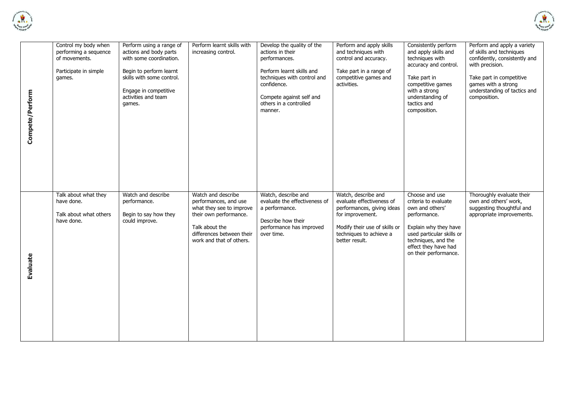



| Compete/Perform | Control my body when<br>performing a sequence<br>of movements.<br>Participate in simple<br>games. | Perform using a range of<br>actions and body parts<br>with some coordination.<br>Begin to perform learnt<br>skills with some control.<br>Engage in competitive<br>activities and team<br>games. | Perform learnt skills with<br>increasing control.                                                                                                                            | Develop the quality of the<br>actions in their<br>performances.<br>Perform learnt skills and<br>techniques with control and<br>confidence.<br>Compete against self and<br>others in a controlled<br>manner. | Perform and apply skills<br>and techniques with<br>control and accuracy.<br>Take part in a range of<br>competitive games and<br>activities.                                      | Consistently perform<br>and apply skills and<br>techniques with<br>accuracy and control.<br>Take part in<br>competitive games<br>with a strong<br>understanding of<br>tactics and<br>composition.       | Perform and apply a variety<br>of skills and techniques<br>confidently, consistently and<br>with precision.<br>Take part in competitive<br>games with a strong<br>understanding of tactics and<br>composition. |
|-----------------|---------------------------------------------------------------------------------------------------|-------------------------------------------------------------------------------------------------------------------------------------------------------------------------------------------------|------------------------------------------------------------------------------------------------------------------------------------------------------------------------------|-------------------------------------------------------------------------------------------------------------------------------------------------------------------------------------------------------------|----------------------------------------------------------------------------------------------------------------------------------------------------------------------------------|---------------------------------------------------------------------------------------------------------------------------------------------------------------------------------------------------------|----------------------------------------------------------------------------------------------------------------------------------------------------------------------------------------------------------------|
| <b>Evaluate</b> | Talk about what they<br>have done.<br>Talk about what others<br>have done.                        | Watch and describe<br>performance.<br>Begin to say how they<br>could improve.                                                                                                                   | Watch and describe<br>performances, and use<br>what they see to improve<br>their own performance.<br>Talk about the<br>differences between their<br>work and that of others. | Watch, describe and<br>evaluate the effectiveness of<br>a performance.<br>Describe how their<br>performance has improved<br>over time.                                                                      | Watch, describe and<br>evaluate effectiveness of<br>performances, giving ideas<br>for improvement.<br>Modify their use of skills or<br>techniques to achieve a<br>better result. | Choose and use<br>criteria to evaluate<br>own and others'<br>performance.<br>Explain why they have<br>used particular skills or<br>techniques, and the<br>effect they have had<br>on their performance. | Thoroughly evaluate their<br>own and others' work,<br>suggesting thoughtful and<br>appropriate improvements.                                                                                                   |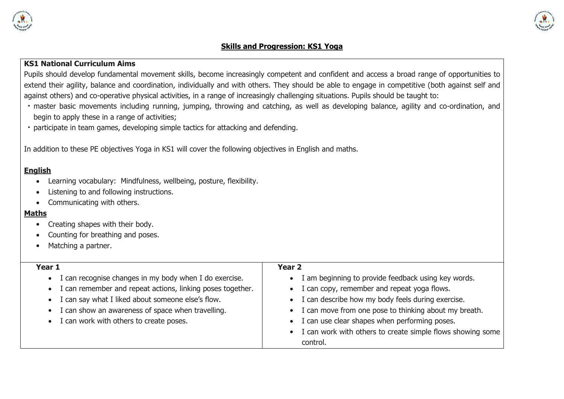

#### **Skills and Progression: KS1 Yoga**

## **KS1 National Curriculum Aims**

Pupils should develop fundamental movement skills, become increasingly competent and confident and access a broad range of opportunities to extend their agility, balance and coordination, individually and with others. They should be able to engage in competitive (both against self and against others) and co-operative physical activities, in a range of increasingly challenging situations. Pupils should be taught to:

- master basic movements including running, jumping, throwing and catching, as well as developing balance, agility and co-ordination, and begin to apply these in a range of activities;
- participate in team games, developing simple tactics for attacking and defending.

In addition to these PE objectives Yoga in KS1 will cover the following objectives in English and maths.

#### **English**

- Learning vocabulary: Mindfulness, wellbeing, posture, flexibility.
- Listening to and following instructions.
- Communicating with others.

#### **Maths**

- Creating shapes with their body.
- Counting for breathing and poses.
- Matching a partner.

| Year 1                                                              | <b>Year 2</b>                                                    |
|---------------------------------------------------------------------|------------------------------------------------------------------|
| I can recognise changes in my body when I do exercise.<br>$\bullet$ | I am beginning to provide feedback using key words.<br>$\bullet$ |
| • I can remember and repeat actions, linking poses together.        | I can copy, remember and repeat yoga flows.<br>$\bullet$         |
| • I can say what I liked about someone else's flow.                 | • I can describe how my body feels during exercise.              |
| • I can show an awareness of space when travelling.                 | • I can move from one pose to thinking about my breath.          |
| • I can work with others to create poses.                           | • I can use clear shapes when performing poses.                  |
|                                                                     | • I can work with others to create simple flows showing some     |
|                                                                     | control.                                                         |